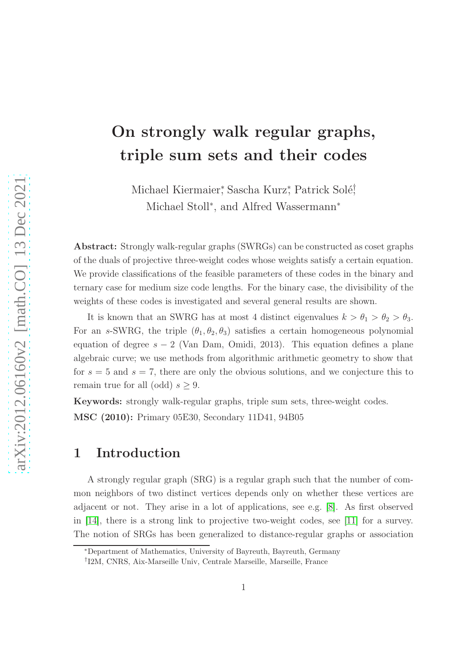# On strongly walk regular graphs, triple sum sets and their codes

Michael Kiermaier, Sascha Kurz, Patrick Solé, Michael Stoll<sup>\*</sup>, and Alfred Wassermann<sup>\*</sup>

Abstract: Strongly walk-regular graphs (SWRGs) can be constructed as coset graphs of the duals of projective three-weight codes whose weights satisfy a certain equation. We provide classifications of the feasible parameters of these codes in the binary and ternary case for medium size code lengths. For the binary case, the divisibility of the weights of these codes is investigated and several general results are shown.

It is known that an SWRG has at most 4 distinct eigenvalues  $k > \theta_1 > \theta_2 > \theta_3$ . For an s-SWRG, the triple  $(\theta_1, \theta_2, \theta_3)$  satisfies a certain homogeneous polynomial equation of degree  $s - 2$  (Van Dam, Omidi, 2013). This equation defines a plane algebraic curve; we use methods from algorithmic arithmetic geometry to show that for  $s = 5$  and  $s = 7$ , there are only the obvious solutions, and we conjecture this to remain true for all (odd)  $s \geq 9$ .

Keywords: strongly walk-regular graphs, triple sum sets, three-weight codes. MSC (2010): Primary 05E30, Secondary 11D41, 94B05

### 1 Introduction

A strongly regular graph (SRG) is a regular graph such that the number of common neighbors of two distinct vertices depends only on whether these vertices are adjacent or not. They arise in a lot of applications, see e.g. [\[8\]](#page-30-0). As first observed in [\[14\]](#page-31-0), there is a strong link to projective two-weight codes, see [\[11\]](#page-30-1) for a survey. The notion of SRGs has been generalized to distance-regular graphs or association

<sup>∗</sup>Department of Mathematics, University of Bayreuth, Bayreuth, Germany

<sup>†</sup> I2M, CNRS, Aix-Marseille Univ, Centrale Marseille, Marseille, France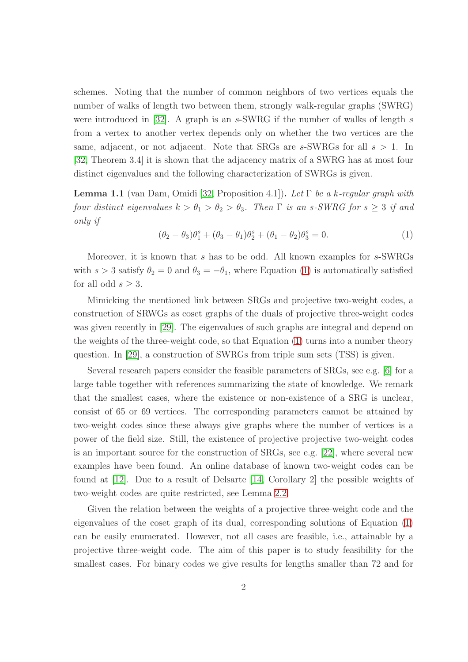schemes. Noting that the number of common neighbors of two vertices equals the number of walks of length two between them, strongly walk-regular graphs (SWRG) were introduced in  $[32]$ . A graph is an s-SWRG if the number of walks of length s from a vertex to another vertex depends only on whether the two vertices are the same, adjacent, or not adjacent. Note that SRGs are s-SWRGs for all  $s > 1$ . In [\[32,](#page-32-0) Theorem 3.4] it is shown that the adjacency matrix of a SWRG has at most four distinct eigenvalues and the following characterization of SWRGs is given.

<span id="page-1-1"></span>**Lemma 1.1** (van Dam, Omidi [\[32,](#page-32-0) Proposition 4.1]). Let  $\Gamma$  be a k-regular graph with four distinct eigenvalues  $k > \theta_1 > \theta_2 > \theta_3$ . Then  $\Gamma$  is an s-SWRG for  $s \geq 3$  if and only if

<span id="page-1-0"></span>
$$
(\theta_2 - \theta_3)\theta_1^s + (\theta_3 - \theta_1)\theta_2^s + (\theta_1 - \theta_2)\theta_3^s = 0.
$$
 (1)

Moreover, it is known that s has to be odd. All known examples for s-SWRGs with  $s > 3$  satisfy  $\theta_2 = 0$  and  $\theta_3 = -\theta_1$ , where Equation [\(1\)](#page-1-0) is automatically satisfied for all odd  $s \geq 3$ .

Mimicking the mentioned link between SRGs and projective two-weight codes, a construction of SRWGs as coset graphs of the duals of projective three-weight codes was given recently in [\[29\]](#page-32-1). The eigenvalues of such graphs are integral and depend on the weights of the three-weight code, so that Equation [\(1\)](#page-1-0) turns into a number theory question. In [\[29\]](#page-32-1), a construction of SWRGs from triple sum sets (TSS) is given.

Several research papers consider the feasible parameters of SRGs, see e.g. [\[6\]](#page-30-2) for a large table together with references summarizing the state of knowledge. We remark that the smallest cases, where the existence or non-existence of a SRG is unclear, consist of 65 or 69 vertices. The corresponding parameters cannot be attained by two-weight codes since these always give graphs where the number of vertices is a power of the field size. Still, the existence of projective projective two-weight codes is an important source for the construction of SRGs, see e.g. [\[22\]](#page-31-1), where several new examples have been found. An online database of known two-weight codes can be found at [\[12\]](#page-30-3). Due to a result of Delsarte [\[14,](#page-31-0) Corollary 2] the possible weights of two-weight codes are quite restricted, see Lemma [2.2.](#page-3-0)

Given the relation between the weights of a projective three-weight code and the eigenvalues of the coset graph of its dual, corresponding solutions of Equation [\(1\)](#page-1-0) can be easily enumerated. However, not all cases are feasible, i.e., attainable by a projective three-weight code. The aim of this paper is to study feasibility for the smallest cases. For binary codes we give results for lengths smaller than 72 and for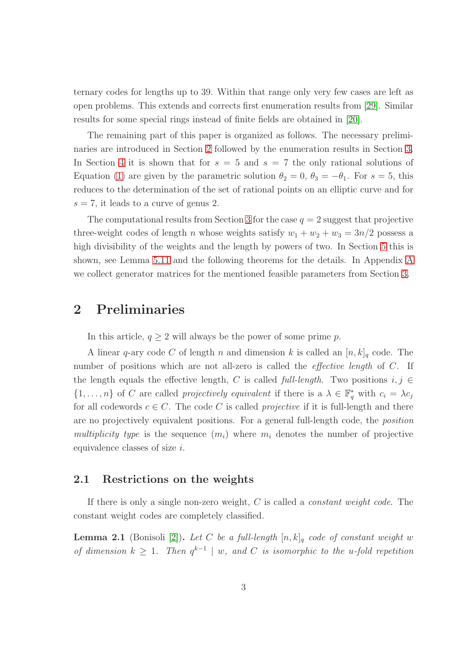ternary codes for lengths up to 39. Within that range only very few cases are left as open problems. This extends and corrects first enumeration results from [\[29\]](#page-32-1). Similar results for some special rings instead of finite fields are obtained in [\[20\]](#page-31-2).

The remaining part of this paper is organized as follows. The necessary preliminaries are introduced in Section [2](#page-2-0) followed by the enumeration results in Section [3.](#page-8-0) In Section [4](#page-18-0) it is shown that for  $s = 5$  and  $s = 7$  the only rational solutions of Equation [\(1\)](#page-1-0) are given by the parametric solution  $\theta_2 = 0$ ,  $\theta_3 = -\theta_1$ . For  $s = 5$ , this reduces to the determination of the set of rational points on an elliptic curve and for  $s = 7$ , it leads to a curve of genus 2.

The computational results from Section [3](#page-8-0) for the case  $q = 2$  suggest that projective three-weight codes of length n whose weights satisfy  $w_1 + w_2 + w_3 = 3n/2$  possess a high divisibility of the weights and the length by powers of two. In Section [5](#page-20-0) this is shown, see Lemma [5.11](#page-26-0) and the following theorems for the details. In Appendix [A](#page-33-0) we collect generator matrices for the mentioned feasible parameters from Section [3.](#page-8-0)

### <span id="page-2-0"></span>2 Preliminaries

In this article,  $q \geq 2$  will always be the power of some prime p.

A linear q-ary code C of length n and dimension k is called an  $[n, k]_q$  code. The number of positions which are not all-zero is called the *effective length* of C. If the length equals the effective length, C is called full-length. Two positions  $i, j \in$  $\{1,\ldots,n\}$  of C are called projectively equivalent if there is a  $\lambda \in \mathbb{F}_q^*$  with  $c_i = \lambda c_j$ for all codewords  $c \in C$ . The code C is called *projective* if it is full-length and there are no projectively equivalent positions. For a general full-length code, the position multiplicity type is the sequence  $(m_i)$  where  $m_i$  denotes the number of projective equivalence classes of size i.

### 2.1 Restrictions on the weights

If there is only a single non-zero weight,  $C$  is called a *constant weight code*. The constant weight codes are completely classified.

<span id="page-2-1"></span>**Lemma 2.1** (Bonisoli [\[2\]](#page-30-4)). Let C be a full-length  $[n, k]_q$  code of constant weight w of dimension  $k \geq 1$ . Then  $q^{k-1} \mid w$ , and C is isomorphic to the u-fold repetition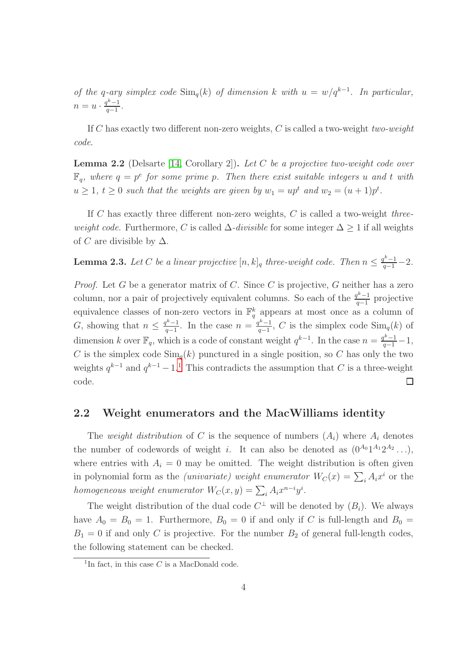of the q-ary simplex code  $\text{Sim}_q(k)$  of dimension k with  $u = w/q^{k-1}$ . In particular,  $n=u\cdot \frac{q^k-1}{q-1}$  $rac{1}{q-1}$ .

If C has exactly two different non-zero weights, C is called a two-weight two-weight code.

<span id="page-3-0"></span>**Lemma 2.2** (Delsarte [\[14,](#page-31-0) Corollary 2]). Let C be a projective two-weight code over  $\mathbb{F}_q$ , where  $q = p^e$  for some prime p. Then there exist suitable integers u and t with  $u \geq 1, t \geq 0$  such that the weights are given by  $w_1 = up^t$  and  $w_2 = (u+1)p^t$ .

If  $C$  has exactly three different non-zero weights,  $C$  is called a two-weight *three*weight code. Furthermore, C is called  $\Delta$ -divisible for some integer  $\Delta > 1$  if all weights of C are divisible by  $\Delta$ .

<span id="page-3-2"></span>**Lemma 2.3.** Let C be a linear projective  $[n, k]_q$  three-weight code. Then  $n \leq \frac{q^k-1}{q-1}-2$ .

*Proof.* Let G be a generator matrix of C. Since C is projective, G neither has a zero column, nor a pair of projectively equivalent columns. So each of the  $\frac{q^{k}-1}{q-1}$  $\frac{q^{n}-1}{q-1}$  projective equivalence classes of non-zero vectors in  $\mathbb{F}_q^k$  appears at most once as a column of G, showing that  $n \leq \frac{q^k-1}{q-1}$  $\frac{q^{k}-1}{q-1}$ . In the case  $n = \frac{q^{k}-1}{q-1}$  $\frac{q^{n}-1}{q-1}$ , C is the simplex code  $\text{Sim}_q(k)$  of dimension k over  $\mathbb{F}_q$ , which is a code of constant weight  $q^{k-1}$ . In the case  $n = \frac{q^{k-1}}{q-1} - 1$ , C is the simplex code  $\text{Sim}_q(k)$  punctured in a single position, so C has only the two weights  $q^{k-1}$  $q^{k-1}$  $q^{k-1}$  and  $q^{k-1}-1$ .<sup>1</sup> This contradicts the assumption that C is a three-weight code.  $\Box$ 

### 2.2 Weight enumerators and the MacWilliams identity

The weight distribution of C is the sequence of numbers  $(A_i)$  where  $A_i$  denotes the number of codewords of weight i. It can also be denoted as  $(0^{A_0}1^{A_1}2^{A_2}\ldots)$ , where entries with  $A_i = 0$  may be omitted. The weight distribution is often given in polynomial form as the *(univariate)* weight enumerator  $W_C(x) = \sum_i A_i x^i$  or the homogeneous weight enumerator  $W_C(x, y) = \sum_i A_i x^{n-i} y^i$ .

The weight distribution of the dual code  $C^{\perp}$  will be denoted by  $(B_i)$ . We always have  $A_0 = B_0 = 1$ . Furthermore,  $B_0 = 0$  if and only if C is full-length and  $B_0 =$  $B_1 = 0$  if and only C is projective. For the number  $B_2$  of general full-length codes, the following statement can be checked.

<span id="page-3-1"></span><sup>&</sup>lt;sup>1</sup>In fact, in this case  $C$  is a MacDonald code.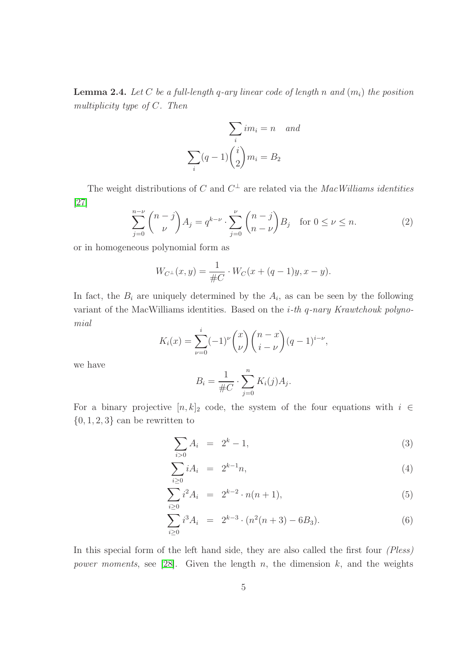<span id="page-4-1"></span>**Lemma 2.4.** Let C be a full-length q-ary linear code of length n and  $(m_i)$  the position multiplicity type of C. Then

$$
\sum_{i} im_i = n \quad and
$$

$$
\sum_{i} (q-1) \binom{i}{2} m_i = B_2
$$

The weight distributions of C and  $C^{\perp}$  are related via the MacWilliams identities [27]

$$
\sum_{j=0}^{n-\nu} \binom{n-j}{\nu} A_j = q^{k-\nu} \cdot \sum_{j=0}^{\nu} \binom{n-j}{n-\nu} B_j \quad \text{for } 0 \le \nu \le n. \tag{2}
$$

or in homogeneous polynomial form as

$$
W_{C^{\perp}}(x,y) = \frac{1}{\#C} \cdot W_C(x + (q-1)y, x - y).
$$

In fact, the  $B_i$  are uniquely determined by the  $A_i$ , as can be seen by the following variant of the MacWilliams identities. Based on the  $i$ -th  $q$ -nary Krawtchouk polynomial

$$
K_i(x) = \sum_{\nu=0}^i (-1)^{\nu} \binom{x}{\nu} \binom{n-x}{i-\nu} (q-1)^{i-\nu},
$$

we have

$$
B_i = \frac{1}{\#C} \cdot \sum_{j=0}^n K_i(j) A_j.
$$

For a binary projective  $[n, k]_2$  code, the system of the four equations with  $i \in$  $\{0, 1, 2, 3\}$  can be rewritten to

<span id="page-4-0"></span>
$$
\sum_{i>0} A_i = 2^k - 1,\tag{3}
$$

$$
\sum_{i\geq 0} iA_i = 2^{k-1}n,\tag{4}
$$

$$
\sum_{i\geq 0} i^2 A_i = 2^{k-2} \cdot n(n+1), \tag{5}
$$

$$
\sum_{i\geq 0} i^3 A_i = 2^{k-3} \cdot (n^2(n+3) - 6B_3).
$$
 (6)

In this special form of the left hand side, they are also called the first four (Pless) power moments, see [\[28\]](#page-32-2). Given the length  $n$ , the dimension  $k$ , and the weights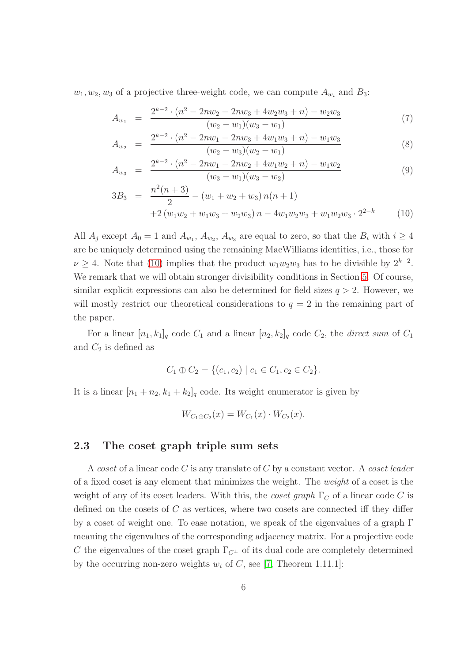$w_1, w_2, w_3$  of a projective three-weight code, we can compute  $A_{w_i}$  and  $B_3$ :

<span id="page-5-0"></span>
$$
A_{w_1} = \frac{2^{k-2} \cdot (n^2 - 2nw_2 - 2nw_3 + 4w_2w_3 + n) - w_2w_3}{(w_2 - w_1)(w_3 - w_1)} \tag{7}
$$

$$
A_{w_2} = \frac{2^{k-2} \cdot (n^2 - 2nw_1 - 2nw_3 + 4w_1w_3 + n) - w_1w_3}{(w_2 - w_3)(w_2 - w_1)}
$$
(8)

$$
A_{w_3} = \frac{2^{k-2} \cdot (n^2 - 2nw_1 - 2nw_2 + 4w_1w_2 + n) - w_1w_2}{(w_3 - w_1)(w_3 - w_2)} \tag{9}
$$

$$
3B_3 = \frac{n^2(n+3)}{2} - (w_1 + w_2 + w_3) n(n+1) + 2 (w_1w_2 + w_1w_3 + w_2w_3) n - 4w_1w_2w_3 + w_1w_2w_3 \cdot 2^{2-k}
$$
 (10)

All  $A_j$  except  $A_0 = 1$  and  $A_{w_1}, A_{w_2}, A_{w_3}$  are equal to zero, so that the  $B_i$  with  $i \geq 4$ are be uniquely determined using the remaining MacWilliams identities, i.e., those for  $\nu \geq 4$ . Note that [\(10\)](#page-5-0) implies that the product  $w_1w_2w_3$  has to be divisible by  $2^{k-2}$ . We remark that we will obtain stronger divisibility conditions in Section [5.](#page-20-0) Of course, similar explicit expressions can also be determined for field sizes  $q > 2$ . However, we will mostly restrict our theoretical considerations to  $q = 2$  in the remaining part of the paper.

For a linear  $[n_1, k_1]_q$  code  $C_1$  and a linear  $[n_2, k_2]_q$  code  $C_2$ , the *direct sum* of  $C_1$ and  $C_2$  is defined as

$$
C_1 \oplus C_2 = \{ (c_1, c_2) \mid c_1 \in C_1, c_2 \in C_2 \}.
$$

It is a linear  $[n_1 + n_2, k_1 + k_2]_q$  code. Its weight enumerator is given by

$$
W_{C_1 \oplus C_2}(x) = W_{C_1}(x) \cdot W_{C_2}(x).
$$

### 2.3 The coset graph triple sum sets

A coset of a linear code  $C$  is any translate of  $C$  by a constant vector. A coset leader of a fixed coset is any element that minimizes the weight. The weight of a coset is the weight of any of its coset leaders. With this, the *coset graph*  $\Gamma_C$  of a linear code C is defined on the cosets of C as vertices, where two cosets are connected iff they differ by a coset of weight one. To ease notation, we speak of the eigenvalues of a graph  $\Gamma$ meaning the eigenvalues of the corresponding adjacency matrix. For a projective code C the eigenvalues of the coset graph  $\Gamma_{C^{\perp}}$  of its dual code are completely determined by the occurring non-zero weights  $w_i$  of C, see [\[7,](#page-30-5) Theorem 1.11.1]: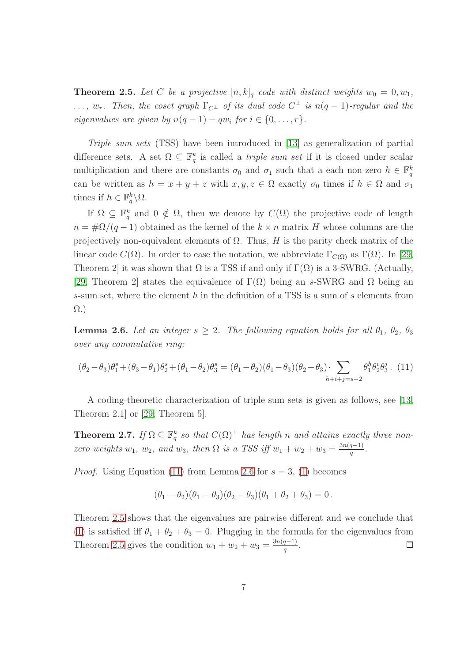<span id="page-6-2"></span>**Theorem 2.5.** Let C be a projective  $[n, k]_q$  code with distinct weights  $w_0 = 0, w_1$ ,  $\ldots, w_r$ . Then, the coset graph  $\Gamma_{C^{\perp}}$  of its dual code  $C^{\perp}$  is  $n(q-1)$ -regular and the eigenvalues are given by  $n(q-1) - qw_i$  for  $i \in \{0, ..., r\}$ .

Triple sum sets (TSS) have been introduced in [\[13\]](#page-30-6) as generalization of partial difference sets. A set  $\Omega \subseteq \mathbb{F}_q^k$  is called a *triple sum set* if it is closed under scalar multiplication and there are constants  $\sigma_0$  and  $\sigma_1$  such that a each non-zero  $h \in \mathbb{F}_q^k$ can be written as  $h = x + y + z$  with  $x, y, z \in \Omega$  exactly  $\sigma_0$  times if  $h \in \Omega$  and  $\sigma_1$ times if  $h \in \mathbb{F}_q^k \backslash \Omega$ .

If  $\Omega \subseteq \mathbb{F}_q^k$  and  $0 \notin \Omega$ , then we denote by  $C(\Omega)$  the projective code of length  $n = \frac{\mu Q}{q-1}$  obtained as the kernel of the  $k \times n$  matrix H whose columns are the projectively non-equivalent elements of  $\Omega$ . Thus, H is the parity check matrix of the linear code  $C(\Omega)$ . In order to ease the notation, we abbreviate  $\Gamma_{C(\Omega)}$  as  $\Gamma(\Omega)$ . In [\[29,](#page-32-1) Theorem 2] it was shown that  $\Omega$  is a TSS if and only if  $\Gamma(\Omega)$  is a 3-SWRG. (Actually, [\[29,](#page-32-1) Theorem 2] states the equivalence of  $\Gamma(\Omega)$  being an s-SWRG and  $\Omega$  being an s-sum set, where the element h in the definition of a TSS is a sum of s elements from Ω.)

<span id="page-6-1"></span>**Lemma 2.6.** Let an integer  $s \geq 2$ . The following equation holds for all  $\theta_1$ ,  $\theta_2$ ,  $\theta_3$ over any commutative ring:

<span id="page-6-0"></span>
$$
(\theta_2 - \theta_3)\theta_1^s + (\theta_3 - \theta_1)\theta_2^s + (\theta_1 - \theta_2)\theta_3^s = (\theta_1 - \theta_2)(\theta_1 - \theta_3)(\theta_2 - \theta_3) \cdot \sum_{h+i+j=s-2} \theta_1^h \theta_2^i \theta_3^j.
$$
 (11)

A coding-theoretic characterization of triple sum sets is given as follows, see [\[13,](#page-30-6) Theorem 2.1] or [\[29,](#page-32-1) Theorem 5].

**Theorem 2.7.** If  $\Omega \subseteq \mathbb{F}_q^k$  so that  $C(\Omega)^{\perp}$  has length n and attains exactly three nonzero weights  $w_1, w_2,$  and  $w_3$ , then  $\Omega$  is a TSS iff  $w_1 + w_2 + w_3 = \frac{3n(q-1)}{q}$  $\frac{q-1)}{q}$ .

*Proof.* Using Equation [\(11\)](#page-6-0) from Lemma [2.6](#page-6-1) for  $s = 3$ , [\(1\)](#page-1-0) becomes

$$
(\theta_1 - \theta_2)(\theta_1 - \theta_3)(\theta_2 - \theta_3)(\theta_1 + \theta_2 + \theta_3) = 0.
$$

Theorem [2.5](#page-6-2) shows that the eigenvalues are pairwise different and we conclude that [\(1\)](#page-1-0) is satisfied iff  $\theta_1 + \theta_2 + \theta_3 = 0$ . Plugging in the formula for the eigenvalues from Theorem [2.5](#page-6-2) gives the condition  $w_1 + w_2 + w_3 = \frac{3n(q-1)}{q}$  $\frac{q-1)}{q}$ .  $\Box$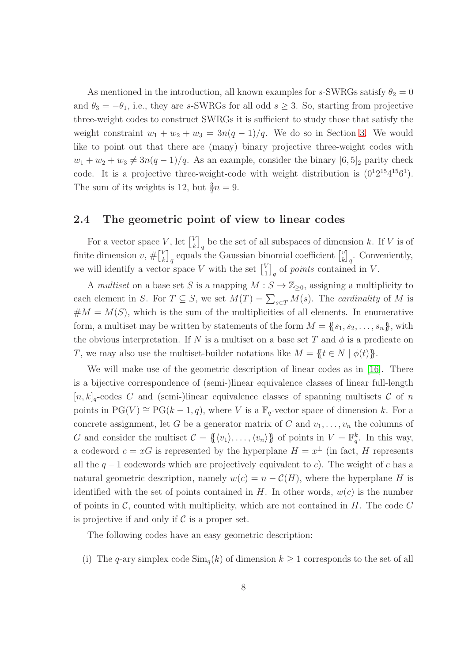As mentioned in the introduction, all known examples for s-SWRGs satisfy  $\theta_2 = 0$ and  $\theta_3 = -\theta_1$ , i.e., they are s-SWRGs for all odd  $s \geq 3$ . So, starting from projective three-weight codes to construct SWRGs it is sufficient to study those that satisfy the weight constraint  $w_1 + w_2 + w_3 = 3n(q-1)/q$ . We do so in Section [3.](#page-8-0) We would like to point out that there are (many) binary projective three-weight codes with  $w_1 + w_2 + w_3 \neq 3n(q-1)/q$ . As an example, consider the binary  $[6, 5]_2$  parity check code. It is a projective three-weight-code with weight distribution is  $(0^12^{15}4^{15}6^1)$ . The sum of its weights is 12, but  $\frac{3}{2}n = 9$ .

### 2.4 The geometric point of view to linear codes

For a vector space V, let  $\begin{bmatrix} V \\ k \end{bmatrix}$  $\binom{V}{k}_q$  be the set of all subspaces of dimension k. If V is of finite dimension  $v, \# \begin{bmatrix} V_k \\ k \end{bmatrix}$  $\binom{V}{k}_q$  equals the Gaussian binomial coefficient  $\binom{V}{k}$  $\left[\begin{smallmatrix} v \\ k \end{smallmatrix}\right]_q$ . Conveniently, we will identify a vector space V with the set  $\begin{bmatrix} V \\ 1 \end{bmatrix}$  $\binom{V}{1}_q$  of *points* contained in V.

A multiset on a base set S is a mapping  $M : S \to \mathbb{Z}_{\geq 0}$ , assigning a multiplicity to each element in S. For  $T \subseteq S$ , we set  $M(T) = \sum_{s \in T} M(s)$ . The *cardinality* of M is  $#M = M(S)$ , which is the sum of the multiplicities of all elements. In enumerative form, a multiset may be written by statements of the form  $M = \{s_1, s_2, \ldots, s_n\}$ , with the obvious interpretation. If N is a multiset on a base set T and  $\phi$  is a predicate on T, we may also use the multiset-builder notations like  $M = \{t \in N \mid \phi(t)\}.$ 

We will make use of the geometric description of linear codes as in [\[16\]](#page-31-3). There is a bijective correspondence of (semi-)linear equivalence classes of linear full-length  $[n, k]_q$ -codes C and (semi-)linear equivalence classes of spanning multisets C of n points in  $PG(V) \cong PG(k-1, q)$ , where V is a  $\mathbb{F}_q$ -vector space of dimension k. For a concrete assignment, let G be a generator matrix of C and  $v_1, \ldots, v_n$  the columns of G and consider the multiset  $\mathcal{C} = \{ \langle v_1 \rangle, \ldots, \langle v_n \rangle \}$  of points in  $V = \mathbb{F}_q^k$ . In this way, a codeword  $c = xG$  is represented by the hyperplane  $H = x^{\perp}$  (in fact, H represents all the  $q-1$  codewords which are projectively equivalent to c). The weight of c has a natural geometric description, namely  $w(c) = n - C(H)$ , where the hyperplane H is identified with the set of points contained in  $H$ . In other words,  $w(c)$  is the number of points in  $\mathcal{C}$ , counted with multiplicity, which are not contained in  $H$ . The code  $C$ is projective if and only if  $\mathcal C$  is a proper set.

The following codes have an easy geometric description:

(i) The q-ary simplex code  $\text{Sim}_{q}(k)$  of dimension  $k \geq 1$  corresponds to the set of all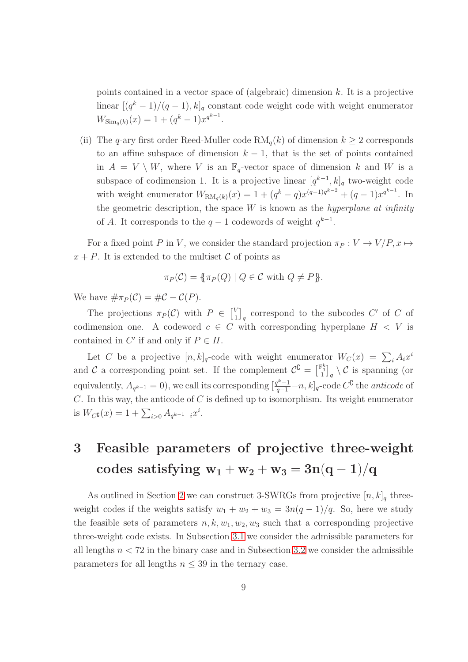points contained in a vector space of (algebraic) dimension  $k$ . It is a projective linear  $[(q^k-1)/(q-1), k]_q$  constant code weight code with weight enumerator  $W_{\text{Sim}_q(k)}(x) = 1 + (q^k - 1)x^{q^{k-1}}.$ 

(ii) The q-ary first order Reed-Muller code  $RM_q(k)$  of dimension  $k \geq 2$  corresponds to an affine subspace of dimension  $k - 1$ , that is the set of points contained in  $A = V \setminus W$ , where V is an  $\mathbb{F}_q$ -vector space of dimension k and W is a subspace of codimension 1. It is a projective linear  $[q^{k-1}, k]_q$  two-weight code with weight enumerator  $W_{\text{RM}_q(k)}(x) = 1 + (q^k - q)x^{(q-1)q^{k-2}} + (q-1)x^{q^{k-1}}$ . In the geometric description, the space  $W$  is known as the *hyperplane at infinity* of A. It corresponds to the  $q-1$  codewords of weight  $q^{k-1}$ .

For a fixed point P in V, we consider the standard projection  $\pi_P : V \to V/P$ ,  $x \mapsto$  $x + P$ . It is extended to the multiset C of points as

$$
\pi_P(\mathcal{C}) = \{ \pi_P(Q) \mid Q \in \mathcal{C} \text{ with } Q \neq P \}.
$$

We have  $\#\pi_P(C) = \#C - C(P)$ .

The projections  $\pi_P(C)$  with  $P \in \begin{bmatrix} V_1 \\ V_2 \end{bmatrix}$  $\binom{V}{1}_q$  correspond to the subcodes C' of C of codimension one. A codeword  $c \in C$  with corresponding hyperplane  $H \leq V$  is contained in  $C'$  if and only if  $P \in H$ .

Let C be a projective  $[n, k]_q$ -code with weight enumerator  $W_C(x) = \sum_i A_i x^i$ and C a corresponding point set. If the complement  $\mathcal{C}^{\mathbb{C}} = \begin{bmatrix} \mathbb{F}_q^k \\ 1 \end{bmatrix}_q \setminus \mathcal{C}$  is spanning (or equivalently,  $A_{q^{k-1}} = 0$ , we call its corresponding  $\left[\frac{q^{k-1}}{q-1} - n, k\right]_q$ -code  $C^{\complement}$  the *anticode* of  $C$ . In this way, the anticode of  $C$  is defined up to isomorphism. Its weight enumerator is  $W_C \mathfrak{c}(x) = 1 + \sum_{i>0} A_{q^{k-1}-i} x^i$ .

## <span id="page-8-0"></span>3 Feasible parameters of projective three-weight codes satisfying  $w_1 + w_2 + w_3 = 3n(q-1)/q$

As outlined in Section [2](#page-2-0) we can construct 3-SWRGs from projective  $[n, k]_q$  threeweight codes if the weights satisfy  $w_1 + w_2 + w_3 = 3n(q-1)/q$ . So, here we study the feasible sets of parameters  $n, k, w_1, w_2, w_3$  such that a corresponding projective three-weight code exists. In Subsection [3.1](#page-9-0) we consider the admissible parameters for all lengths  $n < 72$  in the binary case and in Subsection [3.2](#page-17-0) we consider the admissible parameters for all lengths  $n \leq 39$  in the ternary case.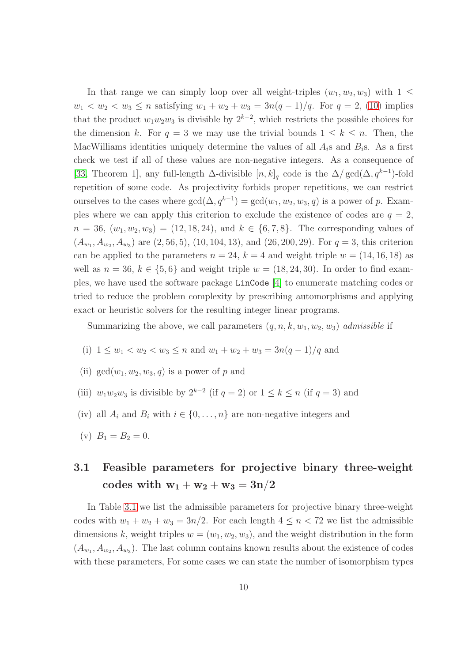In that range we can simply loop over all weight-triples  $(w_1, w_2, w_3)$  with  $1 \leq$  $w_1 < w_2 < w_3 \le n$  satisfying  $w_1 + w_2 + w_3 = 3n(q-1)/q$ . For  $q = 2$ , [\(10\)](#page-5-0) implies that the product  $w_1w_2w_3$  is divisible by  $2^{k-2}$ , which restricts the possible choices for the dimension k. For  $q = 3$  we may use the trivial bounds  $1 \leq k \leq n$ . Then, the MacWilliams identities uniquely determine the values of all  $A_i$ s and  $B_i$ s. As a first check we test if all of these values are non-negative integers. As a consequence of [\[33,](#page-32-3) Theorem 1], any full-length  $\Delta$ -divisible  $[n, k]_q$  code is the  $\Delta / \text{gcd}(\Delta, q^{k-1})$ -fold repetition of some code. As projectivity forbids proper repetitions, we can restrict ourselves to the cases where  $gcd(\Delta, q^{k-1}) = gcd(w_1, w_2, w_3, q)$  is a power of p. Examples where we can apply this criterion to exclude the existence of codes are  $q = 2$ ,  $n = 36, (w_1, w_2, w_3) = (12, 18, 24),$  and  $k \in \{6, 7, 8\}$ . The corresponding values of  $(A_{w_1}, A_{w_2}, A_{w_3})$  are  $(2, 56, 5)$ ,  $(10, 104, 13)$ , and  $(26, 200, 29)$ . For  $q = 3$ , this criterion can be applied to the parameters  $n = 24$ ,  $k = 4$  and weight triple  $w = (14, 16, 18)$  as well as  $n = 36$ ,  $k \in \{5, 6\}$  and weight triple  $w = (18, 24, 30)$ . In order to find examples, we have used the software package LinCode [\[4\]](#page-30-7) to enumerate matching codes or tried to reduce the problem complexity by prescribing automorphisms and applying exact or heuristic solvers for the resulting integer linear programs.

Summarizing the above, we call parameters  $(q, n, k, w_1, w_2, w_3)$  admissible if

- (i)  $1 \leq w_1 < w_2 < w_3 \leq n$  and  $w_1 + w_2 + w_3 = \frac{3n(q-1)}{q}$  and
- (ii)  $gcd(w_1, w_2, w_3, q)$  is a power of p and
- (iii)  $w_1w_2w_3$  is divisible by  $2^{k-2}$  (if  $q=2$ ) or  $1 \leq k \leq n$  (if  $q=3$ ) and
- (iv) all  $A_i$  and  $B_i$  with  $i \in \{0, \ldots, n\}$  are non-negative integers and
- <span id="page-9-0"></span>(v)  $B_1 = B_2 = 0$ .

### 3.1 Feasible parameters for projective binary three-weight codes with  $w_1 + w_2 + w_3 = 3n/2$

In Table [3.1](#page-11-0) we list the admissible parameters for projective binary three-weight codes with  $w_1 + w_2 + w_3 = 3n/2$ . For each length  $4 \leq n < 72$  we list the admissible dimensions k, weight triples  $w = (w_1, w_2, w_3)$ , and the weight distribution in the form  $(A_{w_1}, A_{w_2}, A_{w_3})$ . The last column contains known results about the existence of codes with these parameters, For some cases we can state the number of isomorphism types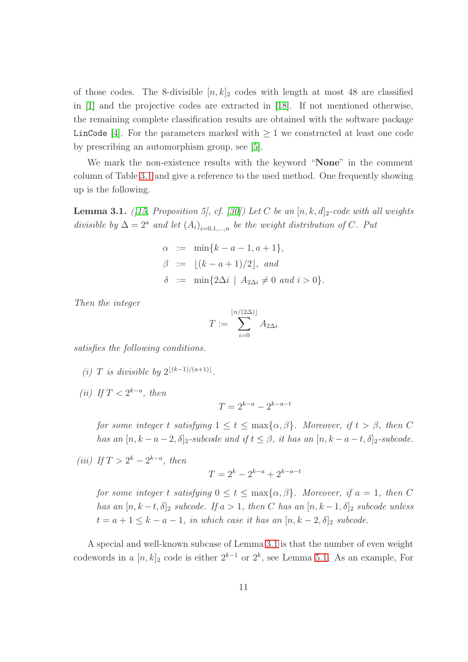of those codes. The 8-divisible  $[n, k]_2$  codes with length at most 48 are classified in [\[1\]](#page-30-8) and the projective codes are extracted in [\[18\]](#page-31-4). If not mentioned otherwise, the remaining complete classification results are obtained with the software package LinCode [\[4\]](#page-30-7). For the parameters marked with  $\geq 1$  we constructed at least one code by prescribing an automorphism group, see [\[5\]](#page-30-9).

We mark the non-existence results with the keyword "None" in the comment column of Table [3.1](#page-11-0) and give a reference to the used method. One frequently showing up is the following.

<span id="page-10-0"></span>**Lemma 3.1.** ([\[15,](#page-31-5) Proposition 5], cf. [\[30\]](#page-32-4)) Let C be an  $[n, k, d]_2$ -code with all weights divisible by  $\Delta = 2^a$  and let  $(A_i)_{i=0,1,...,n}$  be the weight distribution of C. Put

$$
\alpha := \min\{k - a - 1, a + 1\}, \n\beta := \lfloor (k - a + 1)/2 \rfloor, \text{ and } \n\delta := \min\{2\Delta i \mid A_{2\Delta i} \neq 0 \text{ and } i > 0\}.
$$

Then the integer

$$
T := \sum_{i=0}^{\lfloor n/(2\Delta)\rfloor} A_{2\Delta i}
$$

<span id="page-10-1"></span>satisfies the following conditions.

- (i) T is divisible by  $2^{\lfloor (k-1)/(a+1) \rfloor}$ .
- (ii) If  $T < 2^{k-a}$ , then

$$
T = 2^{k-a} - 2^{k-a-t}
$$

for some integer t satisfying  $1 \le t \le \max\{\alpha, \beta\}$ . Moreover, if  $t > \beta$ , then C has an  $[n, k - a - 2, \delta]_2$ -subcode and if  $t \leq \beta$ , it has an  $[n, k - a - t, \delta]_2$ -subcode.

<span id="page-10-2"></span>(iii) If  $T > 2^k - 2^{k-a}$ , then

$$
T = 2^k - 2^{k-a} + 2^{k-a-t}
$$

for some integer t satisfying  $0 \le t \le \max\{\alpha, \beta\}$ . Moreover, if  $a = 1$ , then C has an  $[n, k-t, \delta]_2$  subcode. If  $a > 1$ , then C has an  $[n, k-1, \delta]_2$  subcode unless  $t = a + 1 \leq k - a - 1$ , in which case it has an  $[n, k - 2, \delta]_2$  subcode.

A special and well-known subcase of Lemma [3.1](#page-10-0) is that the number of even weight codewords in a  $[n, k]_2$  code is either  $2^{k-1}$  or  $2^k$ , see Lemma [5.1.](#page-21-0) As an example, For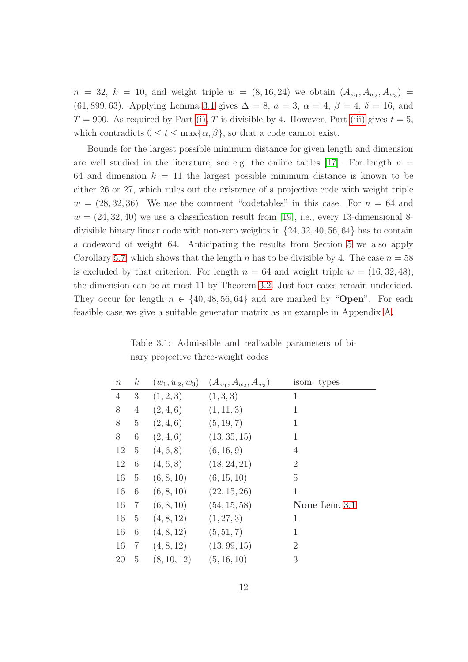$n = 32, k = 10,$  and weight triple  $w = (8, 16, 24)$  we obtain  $(A_{w_1}, A_{w_2}, A_{w_3}) =$ (61, 899, 63). Applying Lemma [3.1](#page-10-0) gives  $\Delta = 8$ ,  $a = 3$ ,  $\alpha = 4$ ,  $\beta = 4$ ,  $\delta = 16$ , and  $T = 900$ . As required by Part [\(i\),](#page-10-1) T is divisible by 4. However, Part [\(iii\)](#page-10-2) gives  $t = 5$ , which contradicts  $0 \le t \le \max\{\alpha, \beta\}$ , so that a code cannot exist.

Bounds for the largest possible minimum distance for given length and dimension are well studied in the literature, see e.g. the online tables [\[17\]](#page-31-6). For length  $n =$ 64 and dimension  $k = 11$  the largest possible minimum distance is known to be either 26 or 27, which rules out the existence of a projective code with weight triple  $w = (28, 32, 36)$ . We use the comment "codetables" in this case. For  $n = 64$  and  $w = (24, 32, 40)$  we use a classification result from [\[19\]](#page-31-7), i.e., every 13-dimensional 8divisible binary linear code with non-zero weights in {24, 32, 40, 56, 64} has to contain a codeword of weight 64. Anticipating the results from Section [5](#page-20-0) we also apply Corollary [5.7,](#page-23-0) which shows that the length n has to be divisible by 4. The case  $n = 58$ is excluded by that criterion. For length  $n = 64$  and weight triple  $w = (16, 32, 48)$ , the dimension can be at most 11 by Theorem [3.2.](#page-14-0) Just four cases remain undecided. They occur for length  $n \in \{40, 48, 56, 64\}$  and are marked by "**Open**". For each feasible case we give a suitable generator matrix as an example in Appendix [A.](#page-33-0)

<span id="page-11-0"></span>Table 3.1: Admissible and realizable parameters of binary projective three-weight codes

| $\, n$         | $\boldsymbol{k}$ | $(w_1, w_2, w_3)$ | $(A_{w_1}, A_{w_2}, A_{w_3})$ | isom. types    |
|----------------|------------------|-------------------|-------------------------------|----------------|
| $\overline{4}$ | $\mathfrak{Z}$   | (1, 2, 3)         | (1,3,3)                       | 1              |
| 8              | $\overline{4}$   | (2,4,6)           | (1, 11, 3)                    | $\mathbf{1}$   |
| 8              | $\overline{5}$   | (2,4,6)           | (5, 19, 7)                    | 1              |
| 8              | 6                | (2,4,6)           | (13, 35, 15)                  | $\mathbf{1}$   |
| 12             | $\overline{5}$   | (4,6,8)           | (6, 16, 9)                    | 4              |
| 12             | 6                | (4,6,8)           | (18, 24, 21)                  | $\overline{2}$ |
| 16             | $\overline{5}$   | (6, 8, 10)        | (6, 15, 10)                   | $\overline{5}$ |
| 16             | 6                | (6, 8, 10)        | (22, 15, 26)                  | 1              |
| 16             | $\overline{7}$   | (6, 8, 10)        | (54, 15, 58)                  | None Lem. 3.1  |
| 16             | 5                | (4, 8, 12)        | (1, 27, 3)                    | 1              |
| 16             | 6                | (4, 8, 12)        | (5, 51, 7)                    | 1              |
| 16             | 7                | (4, 8, 12)        | (13, 99, 15)                  | $\overline{2}$ |
| 20             | $\overline{5}$   | (8, 10, 12)       | (5, 16, 10)                   | 3              |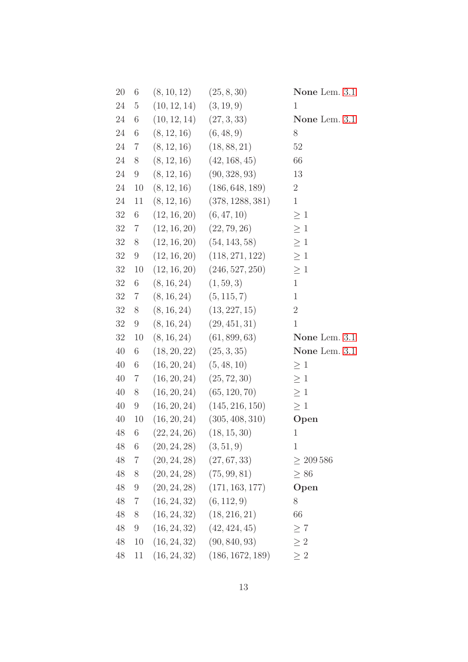| 20     | 6                | $(8, 10, 12)$ $(25, 8, 30)$                        |                                    | None Lem. 3.1  |
|--------|------------------|----------------------------------------------------|------------------------------------|----------------|
| 24     | $\overline{5}$   | $(10, 12, 14)$ $(3, 19, 9)$                        |                                    | $\mathbf{1}$   |
| 24     | 6                | $(10, 12, 14)$ $(27, 3, 33)$                       |                                    | None Lem. 3.1  |
| 24     | $\,6$            | $(8, 12, 16)$ $(6, 48, 9)$                         |                                    | 8              |
| 24     | $\overline{7}$   | $(8, 12, 16)$ $(18, 88, 21)$                       |                                    | $52\,$         |
| 24     | 8                |                                                    | $(8, 12, 16)$ $(42, 168, 45)$      | 66             |
| 24     | $9\phantom{.0}$  |                                                    | $(8, 12, 16)$ $(90, 328, 93)$      | 13             |
| 24     | 10               |                                                    | $(8, 12, 16)$ $(186, 648, 189)$    | $\overline{2}$ |
| 24     | 11               |                                                    | $(8, 12, 16)$ $(378, 1288, 381)$   | $\mathbf{1}$   |
| 32     | $\,6$            | $(12, 16, 20)$ $(6, 47, 10)$                       |                                    | $\geq 1$       |
| 32     | $\overline{7}$   | $(12, 16, 20)$ $(22, 79, 26)$                      |                                    | $\geq 1$       |
| 32     | 8                |                                                    | $(12, 16, 20)$ $(54, 143, 58)$     | $\geq 1$       |
| 32     | $\boldsymbol{9}$ |                                                    | $(12, 16, 20)$ $(118, 271, 122)$   | $\geq 1$       |
| 32     | 10               |                                                    | $(12, 16, 20)$ $(246, 527, 250)$   | $\geq 1$       |
| 32     | $\,6$            | $(8, 16, 24)$ $(1, 59, 3)$                         |                                    | $\mathbf{1}$   |
| 32     | $7\degree$       | $(8, 16, 24)$ $(5, 115, 7)$                        |                                    | $\mathbf{1}$   |
| 32     | 8                |                                                    | $(8, 16, 24)$ $(13, 227, 15)$      | $\overline{2}$ |
| 32     | 9                |                                                    | $(8, 16, 24)$ $(29, 451, 31)$      | $\mathbf{1}$   |
| 32     | 10               |                                                    | $(8, 16, 24)$ $(61, 899, 63)$      | None Lem. 3.1  |
| $40\,$ | $\,6$            | $(18, 20, 22)$ $(25, 3, 35)$                       |                                    | None Lem. 3.1  |
| $40\,$ | $6\,$            | $(16, 20, 24)$ $(5, 48, 10)$                       |                                    | $\geq 1$       |
| 40     | 7                |                                                    | $(16, 20, 24)$ $(25, 72, 30)$      | $\geq 1$       |
| 40     | 8                |                                                    | $(16, 20, 24)$ $(65, 120, 70)$     | $\geq 1$       |
| 40     | $\boldsymbol{9}$ |                                                    | $(16, 20, 24)$ $(145, 216, 150)$   | $\geq 1$       |
| 40     | 10               |                                                    | $(16, 20, 24)$ $(305, 408, 310)$   | Open           |
| 48     | 6                | (22, 24, 26)                                       | (18, 15, 30)                       | $\mathbf 1$    |
| 48     | 6                | $(20, 24, 28)$ $(3, 51, 9)$                        |                                    | $\mathbf{1}$   |
|        |                  | 48 7 $(20, 24, 28)$ $(27, 67, 33)$                 |                                    | > 209586       |
|        |                  | $48 \quad 8 \quad (20, 24, 28) \quad (75, 99, 81)$ |                                    | $\geq 86$      |
| 48     |                  |                                                    | 9 $(20, 24, 28)$ $(171, 163, 177)$ | Open           |
| 48     |                  | 7 $(16, 24, 32)$ $(6, 112, 9)$                     |                                    | 8              |
| 48     | 8                |                                                    | $(16, 24, 32)$ $(18, 216, 21)$     | 66             |
| 48     |                  |                                                    | 9 $(16, 24, 32)$ $(42, 424, 45)$   | $\geq 7$       |
| 48     |                  |                                                    | 10(16, 24, 32)(90, 840, 93)        | > 2            |
| 48     | 11               |                                                    | $(16, 24, 32)$ $(186, 1672, 189)$  | $\geq 2$       |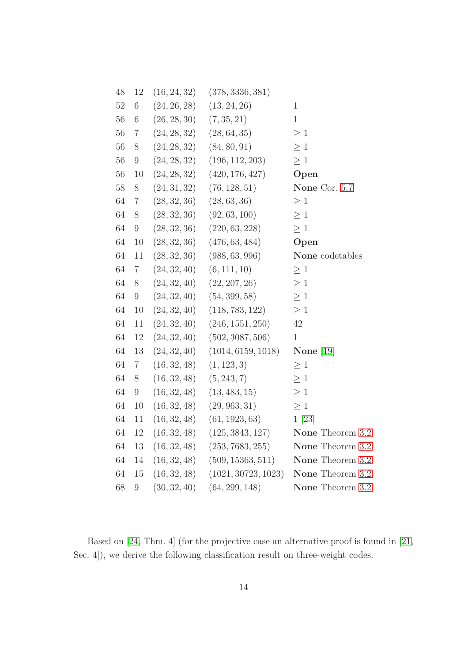| 48     | 12               | (16, 24, 32) | (378, 3336, 381)    |                  |  |
|--------|------------------|--------------|---------------------|------------------|--|
| $52\,$ | $\,6\,$          | (24, 26, 28) | (13, 24, 26)        | $\mathbf{1}$     |  |
| 56     | $\,6$            | (26, 28, 30) | (7, 35, 21)         | $\mathbf{1}$     |  |
| 56     | $\overline{7}$   | (24, 28, 32) | (28, 64, 35)        | $\geq 1$         |  |
| 56     | $8\,$            | (24, 28, 32) | (84, 80, 91)        | $\geq 1$         |  |
| 56     | $\boldsymbol{9}$ | (24, 28, 32) | (196, 112, 203)     | $\geq 1$         |  |
| 56     | 10               | (24, 28, 32) | (420, 176, 427)     | Open             |  |
| 58     | $8\,$            | (24, 31, 32) | (76, 128, 51)       | None Cor. 5.7    |  |
| 64     | $\overline{7}$   | (28, 32, 36) | (28, 63, 36)        | $\geq 1$         |  |
| 64     | $8\,$            | (28, 32, 36) | (92, 63, 100)       | $\geq 1$         |  |
| 64     | $\boldsymbol{9}$ | (28, 32, 36) | (220, 63, 228)      | $\geq 1$         |  |
| 64     | 10               | (28, 32, 36) | (476, 63, 484)      | Open             |  |
| 64     | 11               | (28, 32, 36) | (988, 63, 996)      | None codetables  |  |
| 64     | $\overline{7}$   | (24, 32, 40) | (6, 111, 10)        | $\geq 1$         |  |
| 64     | 8                | (24, 32, 40) | (22, 207, 26)       | $\geq 1$         |  |
| 64     | $\,9$            | (24, 32, 40) | (54, 399, 58)       | $\geq 1$         |  |
| 64     | 10               | (24, 32, 40) | (118, 783, 122)     | $\geq 1$         |  |
| 64     | 11               | (24, 32, 40) | (246, 1551, 250)    | 42               |  |
| 64     | 12               | (24, 32, 40) | (502, 3087, 506)    | $\mathbf{1}$     |  |
| 64     | 13               | (24, 32, 40) | (1014, 6159, 1018)  | None $[19]$      |  |
| 64     | $\,7$            | (16, 32, 48) | (1, 123, 3)         | $\geq 1$         |  |
| 64     | $8\,$            | (16, 32, 48) | (5, 243, 7)         | $\geq 1$         |  |
| 64     | $\boldsymbol{9}$ | (16, 32, 48) | (13, 483, 15)       | $\geq 1$         |  |
| 64     | 10               | (16, 32, 48) | (29, 963, 31)       | $\geq 1$         |  |
| $64\,$ | 11               | (16, 32, 48) | (61, 1923, 63)      | 1 [23]           |  |
| 64     | 12               | (16, 32, 48) | (125, 3843, 127)    | None Theorem 3.2 |  |
| 64     | $13\,$           | (16, 32, 48) | (253, 7683, 255)    | None Theorem 3.2 |  |
| 64     | 14               | (16, 32, 48) | (509, 15363, 511)   | None Theorem 3.2 |  |
| 64     | 15               | (16, 32, 48) | (1021, 30723, 1023) | None Theorem 3.2 |  |
| 68     | $\boldsymbol{9}$ | (30, 32, 40) | (64, 299, 148)      | None Theorem 3.2 |  |
|        |                  |              |                     |                  |  |

Based on [24, Thm. 4] (for the projective case an alternative proof is found in [\[21,](#page-31-9) Sec. 4]), we derive the following classification result on three-weight codes.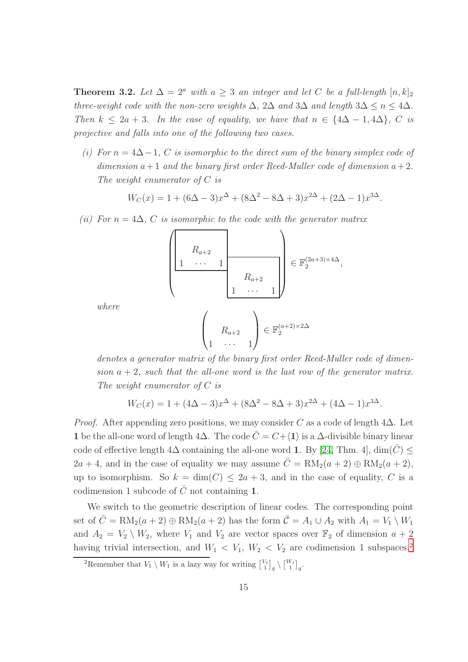<span id="page-14-0"></span>**Theorem 3.2.** Let  $\Delta = 2^a$  with  $a \geq 3$  an integer and let C be a full-length  $[n, k]_2$ three-weight code with the non-zero weights  $\Delta$ ,  $2\Delta$  and  $3\Delta$  and length  $3\Delta \leq n \leq 4\Delta$ . Then  $k \leq 2a + 3$ . In the case of equality, we have that  $n \in \{4\Delta - 1, 4\Delta\}$ , C is projective and falls into one of the following two cases.

<span id="page-14-2"></span>(i) For  $n = 4\Delta - 1$ , C is isomorphic to the direct sum of the binary simplex code of dimension  $a+1$  and the binary first order Reed-Muller code of dimension  $a+2$ . The weight enumerator of  $C$  is

$$
W_C(x) = 1 + (6\Delta - 3)x^{\Delta} + (8\Delta^2 - 8\Delta + 3)x^{2\Delta} + (2\Delta - 1)x^{3\Delta}.
$$

(ii) For  $n = 4\Delta$ , C is isomorphic to the code with the generator matrix

$$
\left(\begin{array}{ccc} & & & \\ R_{a+2} & & & \\ 1 & \cdots & 1 & \\ & & & R_{a+2} \\ & & & 1 & \cdots & 1 \end{array}\right) \in \mathbb{F}_2^{(2a+3)\times 4\Delta},
$$

where

$$
\begin{pmatrix} \ & 0 \\ 1 & \cdots & 1 \end{pmatrix} \in \mathbb{F}_2^{(a+2)\times 2\Delta}
$$

denotes a generator matrix of the binary first order Reed-Muller code of dimension  $a + 2$ , such that the all-one word is the last row of the generator matrix. The weight enumerator of C is

$$
W_C(x) = 1 + (4\Delta - 3)x^{\Delta} + (8\Delta^2 - 8\Delta + 3)x^{2\Delta} + (4\Delta - 1)x^{3\Delta}.
$$

*Proof.* After appending zero positions, we may consider C as a code of length  $4\Delta$ . Let 1 be the all-one word of length 4 $\Delta$ . The code  $\overline{C}=C+\langle 1\rangle$  is a  $\Delta$ -divisible binary linear code of effective length  $4\Delta$  containing the all-one word 1. By [24, Thm. 4],  $\dim(\overline{C}) \leq$  $2a + 4$ , and in the case of equality we may assume  $\overline{C} = \text{RM}_2(a + 2) \oplus \text{RM}_2(a + 2)$ , up to isomorphism. So  $k = \dim(C) \leq 2a + 3$ , and in the case of equality, C is a codimension 1 subcode of  $\overline{C}$  not containing 1.

We switch to the geometric description of linear codes. The corresponding point set of  $\overline{C} = \text{RM}_2(a+2) \oplus \text{RM}_2(a+2)$  has the form  $\overline{C} = A_1 \cup A_2$  with  $A_1 = V_1 \setminus W_1$ and  $A_2 = V_2 \setminus W_2$ , where  $V_1$  and  $V_2$  are vector spaces over  $\mathbb{F}_2$  of dimension  $a + 2$ having trivial intersection, and  $W_1 < V_1$ ,  $W_2 < V_2$  $W_2 < V_2$  $W_2 < V_2$  are codimension 1 subspaces.<sup>2</sup>

<span id="page-14-1"></span><sup>&</sup>lt;sup>2</sup>Remember that  $V_1 \setminus W_1$  is a lazy way for writing  $\begin{bmatrix} V_1 \\ 1 \end{bmatrix}_q \setminus {\begin{bmatrix} W_1 \\ 1 \end{bmatrix}_q}$ .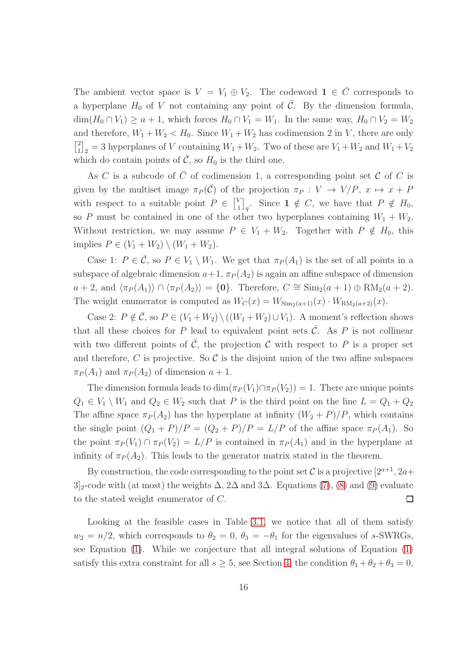The ambient vector space is  $V = V_1 \oplus V_2$ . The codeword  $\mathbf{1} \in \overline{C}$  corresponds to a hyperplane  $H_0$  of V not containing any point of  $\overline{C}$ . By the dimension formula,  $\dim(H_0 \cap V_1) \geq a+1$ , which forces  $H_0 \cap V_1 = W_1$ . In the same way,  $H_0 \cap V_2 = W_2$ and therefore,  $W_1 + W_2 < H_0$ . Since  $W_1 + W_2$  has codimension 2 in V, there are only  $\begin{bmatrix} 2 \\ 1 \end{bmatrix}$  $\binom{2}{1}_2 = 3$  hyperplanes of V containing  $W_1 + W_2$ . Two of these are  $V_1 + W_2$  and  $W_1 + V_2$ which do contain points of  $\overline{C}$ , so  $H_0$  is the third one.

As C is a subcode of  $\overline{C}$  of codimension 1, a corresponding point set C of C is given by the multiset image  $\pi_P(\bar{\mathcal{C}})$  of the projection  $\pi_P : V \to V/P$ ,  $x \mapsto x + P$ with respect to a suitable point  $P \in \begin{bmatrix} V_1 \\ V_2 \end{bmatrix}$  $\begin{bmatrix} V_1 \ 1 \end{bmatrix}_q$ . Since  $1 \notin C$ , we have that  $P \notin H_0$ , so P must be contained in one of the other two hyperplanes containing  $W_1 + W_2$ . Without restriction, we may assume  $P \in V_1 + W_2$ . Together with  $P \notin H_0$ , this implies  $P \in (V_1 + W_2) \setminus (W_1 + W_2)$ .

Case 1:  $P \in \overline{C}$ , so  $P \in V_1 \setminus W_1$ . We get that  $\pi_P(A_1)$  is the set of all points in a subspace of algebraic dimension  $a+1$ ,  $\pi_P (A_2)$  is again an affine subspace of dimension  $a + 2$ , and  $\langle \pi_P (A_1) \rangle \cap \langle \pi_P (A_2) \rangle = \{0\}.$  Therefore,  $C \cong \text{Sim}_2(a + 1) \oplus \text{RM}_2(a + 2).$ The weight enumerator is computed as  $W_C(x) = W_{\text{Sim}_2(a+1)}(x) \cdot W_{\text{RM}_2(a+2)}(x)$ .

Case 2:  $P \notin \bar{C}$ , so  $P \in (V_1 + W_2) \setminus ((W_1 + W_2) \cup V_1)$ . A moment's reflection shows that all these choices for P lead to equivalent point sets  $\overline{C}$ . As P is not collinear with two different points of  $\overline{C}$ , the projection C with respect to P is a proper set and therefore, C is projective. So C is the disjoint union of the two affine subspaces  $\pi_P(A_1)$  and  $\pi_P(A_2)$  of dimension  $a+1$ .

The dimension formula leads to  $\dim(\pi_P(V_1) \cap \pi_P(V_2)) = 1$ . There are unique points  $Q_1 \in V_1 \setminus W_1$  and  $Q_2 \in W_2$  such that P is the third point on the line  $L = Q_1 + Q_2$ The affine space  $\pi_P(A_2)$  has the hyperplane at infinity  $(W_2 + P)/P$ , which contains the single point  $(Q_1 + P)/P = (Q_2 + P)/P = L/P$  of the affine space  $\pi_P(A_1)$ . So the point  $\pi_P(V_1) \cap \pi_P(V_2) = L/P$  is contained in  $\pi_P(A_1)$  and in the hyperplane at infinity of  $\pi_P(A_2)$ . This leads to the generator matrix stated in the theorem.

By construction, the code corresponding to the point set C is a projective  $[2^{a+1}, 2a+$  $3]_2$ -code with (at most) the weights  $\Delta$ ,  $2\Delta$  and  $3\Delta$ . Equations [\(7\)](#page-5-0), [\(8\)](#page-5-0) and [\(9\)](#page-5-0) evaluate to the stated weight enumerator of C.  $\Box$ 

Looking at the feasible cases in Table [3.1,](#page-11-0) we notice that all of them satisfy  $w_2 = n/2$ , which corresponds to  $\theta_2 = 0$ ,  $\theta_3 = -\theta_1$  for the eigenvalues of s-SWRGs, see Equation [\(1\)](#page-1-0). While we conjecture that all integral solutions of Equation [\(1\)](#page-1-0) satisfy this extra constraint for all  $s \geq 5$ , see Section [4,](#page-18-0) the condition  $\theta_1 + \theta_2 + \theta_3 = 0$ ,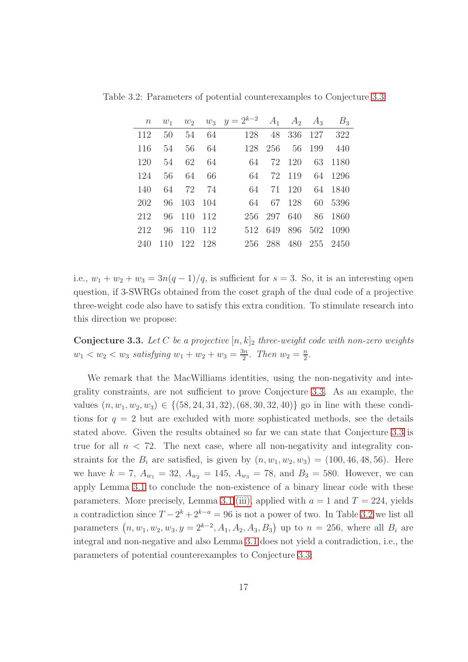<span id="page-16-1"></span>

| $\,n$ |      |            |    | $w_1$ $w_2$ $w_3$ $y = 2^{k-2}$ |             | $A_1 \quad A_2 \quad A_3$ | $B_3$                |
|-------|------|------------|----|---------------------------------|-------------|---------------------------|----------------------|
| 112   | 50   |            |    | 54 64<br>128                    |             |                           | 48 336 127 322       |
| 116   | - 54 | 56         | 64 |                                 | 128 256 56  |                           | 199 440              |
| 120   | 54   | 62         | 64 | 64                              | 72 120      |                           | 63 1180              |
| 124   | 56   | 64         | 66 | 64                              | 72 119      |                           | 64 1296              |
| 140   | 64   | 72 74      |    | -64                             | 71 120      |                           | 64 1840              |
| 202   |      | 96 103 104 |    | 64                              | 67 128      |                           | 60 5396              |
| 212   |      | 96 110 112 |    |                                 | 256 297 640 |                           | 86 1860              |
| 212   |      | 96 110 112 |    |                                 |             |                           | 512 649 896 502 1090 |
| 240   | 110  | 122 128    |    |                                 |             |                           | 256 288 480 255 2450 |

Table 3.2: Parameters of potential counterexamples to Conjecture [3.3](#page-16-0)

i.e.,  $w_1 + w_2 + w_3 = 3n(q-1)/q$ , is sufficient for  $s = 3$ . So, it is an interesting open question, if 3-SWRGs obtained from the coset graph of the dual code of a projective three-weight code also have to satisfy this extra condition. To stimulate research into this direction we propose:

<span id="page-16-0"></span>**Conjecture 3.3.** Let C be a projective  $[n, k]_2$  three-weight code with non-zero weights  $w_1 < w_2 < w_3$  satisfying  $w_1 + w_2 + w_3 = \frac{3n}{2}$  $\frac{3n}{2}$ . Then  $w_2 = \frac{n}{2}$  $\frac{n}{2}$ .

We remark that the MacWilliams identities, using the non-negativity and integrality constraints, are not sufficient to prove Conjecture [3.3.](#page-16-0) As an example, the values  $(n, w_1, w_2, w_3) \in \{(58, 24, 31, 32), (68, 30, 32, 40)\}\$ go in line with these conditions for  $q = 2$  but are excluded with more sophisticated methods, see the details stated above. Given the results obtained so far we can state that Conjecture [3.3](#page-16-0) is true for all  $n < 72$ . The next case, where all non-negativity and integrality constraints for the  $B_i$  are satisfied, is given by  $(n, w_1, w_2, w_3) = (100, 46, 48, 56)$ . Here we have  $k = 7$ ,  $A_{w_1} = 32$ ,  $A_{w_2} = 145$ ,  $A_{w_3} = 78$ , and  $B_3 = 580$ . However, we can apply Lemma [3.1](#page-10-0) to conclude the non-existence of a binary linear code with these parameters. More precisely, Lemma [3.1](#page-10-0)[.\(iii\),](#page-10-2) applied with  $a = 1$  and  $T = 224$ , yields a contradiction since  $T - 2^k + 2^{k-a} = 96$  is not a power of two. In Table [3.2](#page-16-1) we list all parameters  $(n, w_1, w_2, w_3, y = 2^{k-2}, A_1, A_2, A_3, B_3)$  up to  $n = 256$ , where all  $B_i$  are integral and non-negative and also Lemma [3.1](#page-10-0) does not yield a contradiction, i.e., the parameters of potential counterexamples to Conjecture [3.3:](#page-16-0)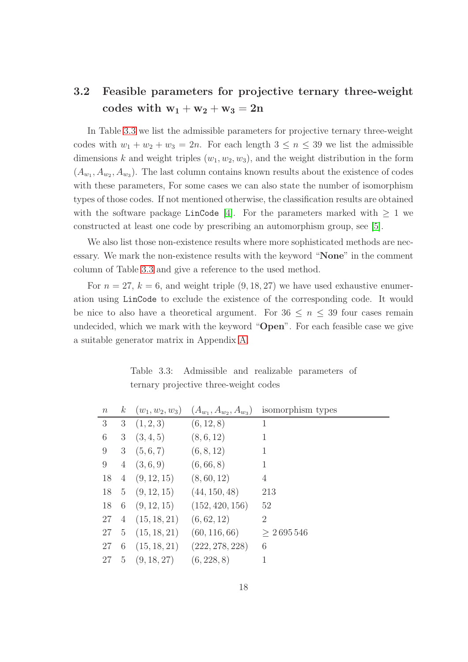### <span id="page-17-0"></span>3.2 Feasible parameters for projective ternary three-weight codes with  $w_1 + w_2 + w_3 = 2n$

In Table [3.3](#page-17-1) we list the admissible parameters for projective ternary three-weight codes with  $w_1 + w_2 + w_3 = 2n$ . For each length  $3 \leq n \leq 39$  we list the admissible dimensions k and weight triples  $(w_1, w_2, w_3)$ , and the weight distribution in the form  $(A_{w_1}, A_{w_2}, A_{w_3})$ . The last column contains known results about the existence of codes with these parameters, For some cases we can also state the number of isomorphism types of those codes. If not mentioned otherwise, the classification results are obtained with the software package LinCode [\[4\]](#page-30-7). For the parameters marked with  $\geq 1$  we constructed at least one code by prescribing an automorphism group, see [\[5\]](#page-30-9).

We also list those non-existence results where more sophisticated methods are necessary. We mark the non-existence results with the keyword "None" in the comment column of Table [3.3](#page-17-1) and give a reference to the used method.

For  $n = 27$ ,  $k = 6$ , and weight triple  $(9, 18, 27)$  we have used exhaustive enumeration using LinCode to exclude the existence of the corresponding code. It would be nice to also have a theoretical argument. For  $36 \leq n \leq 39$  four cases remain undecided, which we mark with the keyword "Open". For each feasible case we give a suitable generator matrix in Appendix [A.](#page-33-0)

<span id="page-17-1"></span>Table 3.3: Admissible and realizable parameters of ternary projective three-weight codes

| $\boldsymbol{n}$ | $k_{\parallel}$ | $(w_1, w_2, w_3)$   | $(A_{w_1}, A_{w_2}, A_{w_3})$ | isomorphism types |
|------------------|-----------------|---------------------|-------------------------------|-------------------|
| 3                | 3               | (1, 2, 3)           | (6, 12, 8)                    | 1                 |
| $6\,$            | 3               | (3, 4, 5)           | (8, 6, 12)                    | 1                 |
| 9                | 3               | (5,6,7)             | (6, 8, 12)                    | 1                 |
| 9                | $\overline{4}$  | (3,6,9)             | (6, 66, 8)                    | $\mathbf{1}$      |
| 18               |                 | $4\quad(9, 12, 15)$ | (8, 60, 12)                   | $\overline{4}$    |
| 18               |                 | $5\quad(9, 12, 15)$ | (44, 150, 48)                 | 213               |
| 18               |                 | 6(9, 12, 15)        | (152, 420, 156)               | 52                |
| 27               |                 | 4(15, 18, 21)       | (6, 62, 12)                   | $\overline{2}$    |
| 27               | 5 <sup>5</sup>  | (15, 18, 21)        | (60, 116, 66)                 | > 2695546         |
| 27               | $6\phantom{.}6$ | (15, 18, 21)        | (222, 278, 228)               | 6                 |
| 27               | 5 <sup>5</sup>  | (9, 18, 27)         | (6, 228, 8)                   |                   |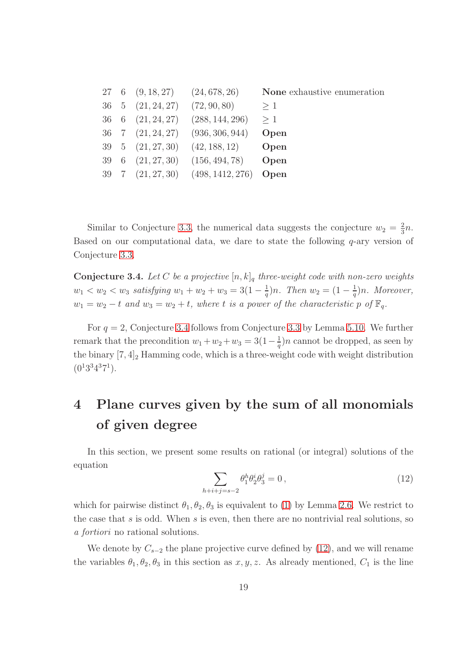|  |                                                    | 27 6 $(9, 18, 27)$ $(24, 678, 26)$                    | None exhaustive enumeration |
|--|----------------------------------------------------|-------------------------------------------------------|-----------------------------|
|  | $36 \quad 5 \quad (21, 24, 27) \quad (72, 90, 80)$ |                                                       | >1                          |
|  |                                                    | $36 \quad 6 \quad (21, 24, 27) \quad (288, 144, 296)$ | >1                          |
|  |                                                    | $36 \quad 7 \quad (21, 24, 27) \quad (936, 306, 944)$ | Open                        |
|  |                                                    | 39 5 $(21, 27, 30)$ $(42, 188, 12)$ Open              |                             |
|  |                                                    | $39 \quad 6 \quad (21, 27, 30) \quad (156, 494, 78)$  | Open                        |
|  |                                                    | 39 7 $(21, 27, 30)$ $(498, 1412, 276)$                | Open                        |

Similar to Conjecture [3.3,](#page-16-0) the numerical data suggests the conjecture  $w_2 = \frac{2}{3}$  $\frac{2}{3}n$ . Based on our computational data, we dare to state the following  $q$ -ary version of Conjecture [3.3.](#page-16-0)

<span id="page-18-1"></span>**Conjecture 3.4.** Let C be a projective  $[n, k]_q$  three-weight code with non-zero weights  $w_1 < w_2 < w_3$  satisfying  $w_1 + w_2 + w_3 = 3(1 - \frac{1}{a})$  $(\frac{1}{q})n$ . Then  $w_2 = (1 - \frac{1}{q})$  $\frac{1}{q}$ )n. Moreover,  $w_1 = w_2 - t$  and  $w_3 = w_2 + t$ , where t is a power of the characteristic p of  $\mathbb{F}_q$ .

For  $q = 2$ , Conjecture [3.4](#page-18-1) follows from Conjecture [3.3](#page-16-0) by Lemma [5.10.](#page-25-0) We further remark that the precondition  $w_1 + w_2 + w_3 = 3(1 - \frac{1}{a})$  $\frac{1}{q}$ )n cannot be dropped, as seen by the binary  $[7, 4]_2$  Hamming code, which is a three-weight code with weight distribution  $(0^13^34^37^1).$ 

## <span id="page-18-0"></span>4 Plane curves given by the sum of all monomials of given degree

In this section, we present some results on rational (or integral) solutions of the equation

<span id="page-18-2"></span>
$$
\sum_{h+i+j=s-2} \theta_1^h \theta_2^i \theta_3^j = 0,
$$
\n(12)

which for pairwise distinct  $\theta_1, \theta_2, \theta_3$  is equivalent to [\(1\)](#page-1-0) by Lemma [2.6.](#page-6-1) We restrict to the case that  $s$  is odd. When  $s$  is even, then there are no nontrivial real solutions, so a fortiori no rational solutions.

We denote by  $C_{s-2}$  the plane projective curve defined by [\(12\)](#page-18-2), and we will rename the variables  $\theta_1, \theta_2, \theta_3$  in this section as  $x, y, z$ . As already mentioned,  $C_1$  is the line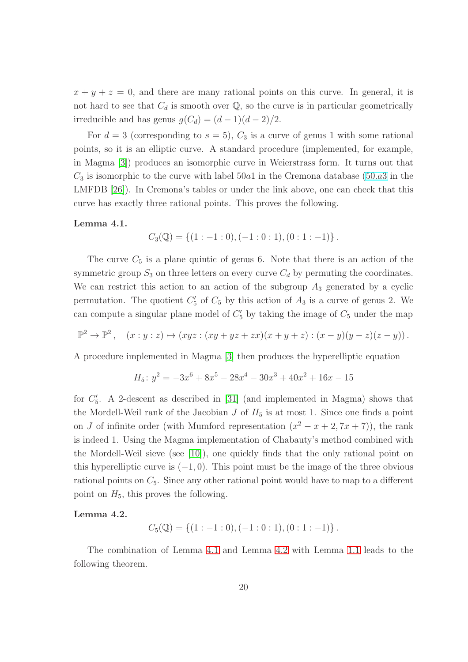$x + y + z = 0$ , and there are many rational points on this curve. In general, it is not hard to see that  $C_d$  is smooth over  $\mathbb Q$ , so the curve is in particular geometrically irreducible and has genus  $g(C_d) = (d-1)(d-2)/2$ .

For  $d = 3$  (corresponding to  $s = 5$ ),  $C_3$  is a curve of genus 1 with some rational points, so it is an elliptic curve. A standard procedure (implemented, for example, in Magma [\[3\]](#page-30-10)) produces an isomorphic curve in Weierstrass form. It turns out that  $C_3$  is isomorphic to the curve with label 50a1 in the Cremona database [\(50](http://www.lmfdb.org/EllipticCurve/Q/50/a/3).a3 in the LMFDB [\[26\]](#page-32-5)). In Cremona's tables or under the link above, one can check that this curve has exactly three rational points. This proves the following.

#### <span id="page-19-0"></span>Lemma 4.1.

$$
C_3(\mathbb{Q}) = \{ (1:-1:0), (-1:0:1), (0:1:-1) \}.
$$

The curve  $C_5$  is a plane quintic of genus 6. Note that there is an action of the symmetric group  $S_3$  on three letters on every curve  $C_d$  by permuting the coordinates. We can restrict this action to an action of the subgroup  $A_3$  generated by a cyclic permutation. The quotient  $C'_5$  of  $C_5$  by this action of  $A_3$  is a curve of genus 2. We can compute a singular plane model of  $C'_{5}$  by taking the image of  $C_{5}$  under the map

$$
\mathbb{P}^2 \to \mathbb{P}^2, \quad (x:y:z) \mapsto (xyz: (xy+yz+zx)(x+y+z): (x-y)(y-z)(z-y)).
$$

A procedure implemented in Magma [\[3\]](#page-30-10) then produces the hyperelliptic equation

$$
H_5: y^2 = -3x^6 + 8x^5 - 28x^4 - 30x^3 + 40x^2 + 16x - 15
$$

for  $C_5'$ . A 2-descent as described in [\[31\]](#page-32-6) (and implemented in Magma) shows that the Mordell-Weil rank of the Jacobian  $J$  of  $H_5$  is at most 1. Since one finds a point on J of infinite order (with Mumford representation  $(x^2 - x + 2, 7x + 7)$ ), the rank is indeed 1. Using the Magma implementation of Chabauty's method combined with the Mordell-Weil sieve (see [\[10\]](#page-30-11)), one quickly finds that the only rational point on this hyperelliptic curve is  $(-1, 0)$ . This point must be the image of the three obvious rational points on  $C_5$ . Since any other rational point would have to map to a different point on  $H_5$ , this proves the following.

#### <span id="page-19-1"></span>Lemma 4.2.

$$
C_5(\mathbb{Q}) = \{ (1:-1:0), (-1:0:1), (0:1:-1) \}.
$$

The combination of Lemma [4.1](#page-19-0) and Lemma [4.2](#page-19-1) with Lemma [1.1](#page-1-1) leads to the following theorem.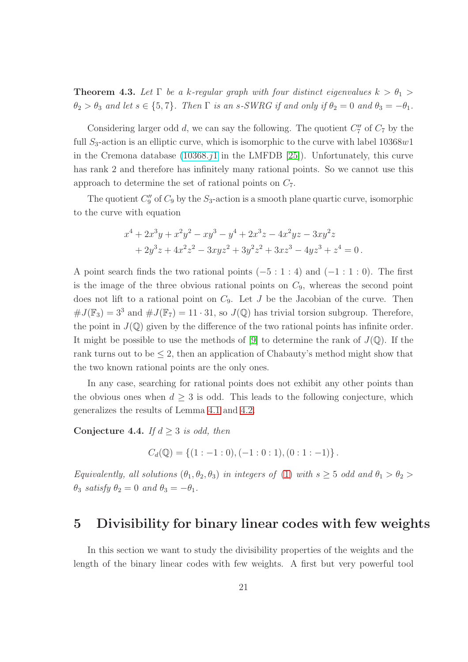**Theorem 4.3.** Let  $\Gamma$  be a k-regular graph with four distinct eigenvalues  $k > \theta_1$  $\theta_2 > \theta_3$  and let  $s \in \{5, 7\}$ . Then  $\Gamma$  is an s-SWRG if and only if  $\theta_2 = 0$  and  $\theta_3 = -\theta_1$ .

Considering larger odd  $d$ , we can say the following. The quotient  $C''_7$  of  $C_7$  by the full  $S_3$ -action is an elliptic curve, which is isomorphic to the curve with label  $10368w1$ in the Cremona database  $(10368.71 \text{ in the LMFDB } [25])$  $(10368.71 \text{ in the LMFDB } [25])$  $(10368.71 \text{ in the LMFDB } [25])$ . Unfortunately, this curve has rank 2 and therefore has infinitely many rational points. So we cannot use this approach to determine the set of rational points on  $C_7$ .

The quotient  $C''_9$  of  $C_9$  by the  $S_3$ -action is a smooth plane quartic curve, isomorphic to the curve with equation

$$
x^{4} + 2x^{3}y + x^{2}y^{2} - xy^{3} - y^{4} + 2x^{3}z - 4x^{2}yz - 3xy^{2}z
$$
  
+ 
$$
2y^{3}z + 4x^{2}z^{2} - 3xyz^{2} + 3y^{2}z^{2} + 3xz^{3} - 4yz^{3} + z^{4} = 0.
$$

A point search finds the two rational points  $(-5:1:4)$  and  $(-1:1:0)$ . The first is the image of the three obvious rational points on  $C_9$ , whereas the second point does not lift to a rational point on  $C_9$ . Let  $J$  be the Jacobian of the curve. Then  $\#J(\mathbb{F}_3) = 3^3$  and  $\#J(\mathbb{F}_7) = 11 \cdot 31$ , so  $J(\mathbb{Q})$  has trivial torsion subgroup. Therefore, the point in  $J(\mathbb{Q})$  given by the difference of the two rational points has infinite order. It might be possible to use the methods of [\[9\]](#page-30-12) to determine the rank of  $J(\mathbb{Q})$ . If the rank turns out to be  $\leq 2$ , then an application of Chabauty's method might show that the two known rational points are the only ones.

In any case, searching for rational points does not exhibit any other points than the obvious ones when  $d \geq 3$  is odd. This leads to the following conjecture, which generalizes the results of Lemma [4.1](#page-19-0) and [4.2.](#page-19-1)

Conjecture 4.4. If  $d \geq 3$  is odd, then

$$
C_d(\mathbb{Q}) = \{ (1:-1:0), (-1:0:1), (0:1:-1) \}.
$$

Equivalently, all solutions  $(\theta_1, \theta_2, \theta_3)$  in integers of [\(1\)](#page-1-0) with  $s \geq 5$  odd and  $\theta_1 > \theta_2$  $\theta_3$  satisfy  $\theta_2 = 0$  and  $\theta_3 = -\theta_1$ .

### <span id="page-20-0"></span>5 Divisibility for binary linear codes with few weights

In this section we want to study the divisibility properties of the weights and the length of the binary linear codes with few weights. A first but very powerful tool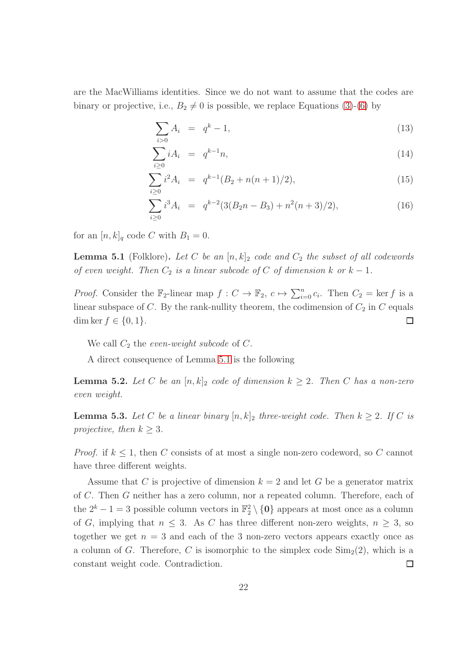are the MacWilliams identities. Since we do not want to assume that the codes are binary or projective, i.e.,  $B_2 \neq 0$  is possible, we replace Equations [\(3\)](#page-4-0)-[\(6\)](#page-4-0) by

<span id="page-21-2"></span>
$$
\sum_{i>0} A_i = q^k - 1,\tag{13}
$$

$$
\sum_{i\geq 0} iA_i = q^{k-1}n, \tag{14}
$$

$$
\sum_{i\geq 0} i^2 A_i = q^{k-1} (B_2 + n(n+1)/2), \tag{15}
$$

$$
\sum_{i\geq 0} i^3 A_i = q^{k-2} (3(B_2 n - B_3) + n^2 (n+3)/2), \tag{16}
$$

for an  $[n, k]_q$  code C with  $B_1 = 0$ .

<span id="page-21-0"></span>**Lemma 5.1** (Folklore). Let C be an  $[n, k]_2$  code and  $C_2$  the subset of all codewords of even weight. Then  $C_2$  is a linear subcode of C of dimension k or  $k-1$ .

*Proof.* Consider the  $\mathbb{F}_2$ -linear map  $f: C \to \mathbb{F}_2$ ,  $c \mapsto \sum_{i=0}^n c_i$ . Then  $C_2 = \ker f$  is a linear subspace of C. By the rank-nullity theorem, the codimension of  $C_2$  in C equals dim ker  $f \in \{0, 1\}.$  $\Box$ 

We call  $C_2$  the *even-weight subcode* of  $C$ .

A direct consequence of Lemma [5.1](#page-21-0) is the following

<span id="page-21-3"></span>**Lemma 5.2.** Let C be an  $[n, k]_2$  code of dimension  $k \geq 2$ . Then C has a non-zero even weight.

<span id="page-21-1"></span>**Lemma 5.3.** Let C be a linear binary  $[n, k]_2$  three-weight code. Then  $k \geq 2$ . If C is projective, then  $k \geq 3$ .

*Proof.* if  $k \leq 1$ , then C consists of at most a single non-zero codeword, so C cannot have three different weights.

Assume that C is projective of dimension  $k = 2$  and let G be a generator matrix of C. Then G neither has a zero column, nor a repeated column. Therefore, each of the  $2^k - 1 = 3$  possible column vectors in  $\mathbb{F}_2^2 \setminus \{0\}$  appears at most once as a column of G, implying that  $n \leq 3$ . As C has three different non-zero weights,  $n \geq 3$ , so together we get  $n = 3$  and each of the 3 non-zero vectors appears exactly once as a column of G. Therefore, C is isomorphic to the simplex code  $\text{Sim}_2(2)$ , which is a constant weight code. Contradiction.  $\Box$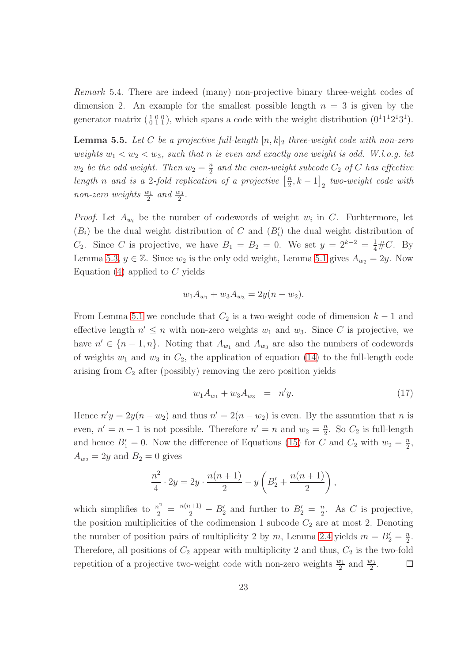Remark 5.4. There are indeed (many) non-projective binary three-weight codes of dimension 2. An example for the smallest possible length  $n = 3$  is given by the generator matrix  $\begin{pmatrix} 1 & 0 & 0 \\ 0 & 1 & 1 \end{pmatrix}$ , which spans a code with the weight distribution  $(0^11^12^13^1)$ .

<span id="page-22-0"></span>**Lemma 5.5.** Let C be a projective full-length  $[n, k]_2$  three-weight code with non-zero weights  $w_1 < w_2 < w_3$ , such that n is even and exactly one weight is odd. W.l.o.g. let  $w_2$  be the odd weight. Then  $w_2 = \frac{n}{2}$  $\frac{n}{2}$  and the even-weight subcode  $C_2$  of  $C$  has effective length n and is a 2-fold replication of a projective  $\left[\frac{n}{2}\right]$  $\left[\frac{n}{2},k-1\right]_{2}$  two-weight code with non-zero weights  $\frac{w_1}{2}$  and  $\frac{w_3}{2}$ .

*Proof.* Let  $A_{w_i}$  be the number of codewords of weight  $w_i$  in C. Furhtermore, let  $(B_i)$  be the dual weight distribution of C and  $(B'_i)$  the dual weight distribution of C<sub>2</sub>. Since C is projective, we have  $B_1 = B_2 = 0$ . We set  $y = 2^{k-2} = \frac{1}{4} \# C$ . By Lemma [5.3,](#page-21-1)  $y \in \mathbb{Z}$ . Since  $w_2$  is the only odd weight, Lemma [5.1](#page-21-0) gives  $A_{w_2} = 2y$ . Now Equation  $(4)$  applied to C yields

$$
w_1 A_{w_1} + w_3 A_{w_3} = 2y(n - w_2).
$$

From Lemma [5.1](#page-21-0) we conclude that  $C_2$  is a two-weight code of dimension  $k-1$  and effective length  $n' \leq n$  with non-zero weights  $w_1$  and  $w_3$ . Since C is projective, we have  $n' \in \{n-1, n\}$ . Noting that  $A_{w_1}$  and  $A_{w_3}$  are also the numbers of codewords of weights  $w_1$  and  $w_3$  in  $C_2$ , the application of equation [\(14\)](#page-21-2) to the full-length code arising from  $C_2$  after (possibly) removing the zero position yields

$$
w_1 A_{w_1} + w_3 A_{w_3} = n'y. \tag{17}
$$

Hence  $n'y = 2y(n - w_2)$  and thus  $n' = 2(n - w_2)$  is even. By the assumtion that n is even,  $n' = n - 1$  is not possible. Therefore  $n' = n$  and  $w_2 = \frac{n}{2}$  $\frac{n}{2}$ . So  $C_2$  is full-length and hence  $B'_1 = 0$ . Now the difference of Equations [\(15\)](#page-21-2) for C and  $C_2$  with  $w_2 = \frac{n}{2}$  $\frac{n}{2}$  $A_{w_2} = 2y$  and  $B_2 = 0$  gives

$$
\frac{n^2}{4} \cdot 2y = 2y \cdot \frac{n(n+1)}{2} - y \left( B_2' + \frac{n(n+1)}{2} \right),
$$

which simplifies to  $\frac{n^2}{2} = \frac{n(n+1)}{2} - B'_2$  and further to  $B'_2 = \frac{n}{2}$  $\frac{n}{2}$ . As *C* is projective, the position multiplicities of the codimension 1 subcode  $C_2$  are at most 2. Denoting the number of position pairs of multiplicity 2 by m, Lemma [2.4](#page-4-1) yields  $m = B'_2 = \frac{n}{2}$  $\frac{n}{2}$ . Therefore, all positions of  $C_2$  appear with multiplicity 2 and thus,  $C_2$  is the two-fold repetition of a projective two-weight code with non-zero weights  $\frac{w_1}{2}$  and  $\frac{w_3}{2}$ . □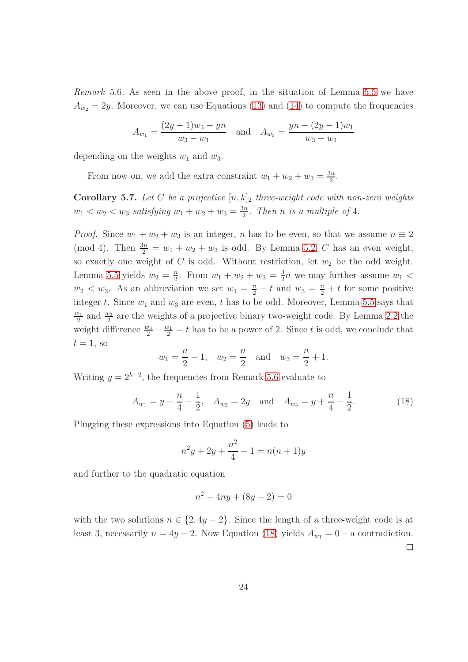<span id="page-23-1"></span>Remark 5.6. As seen in the above proof, in the situation of Lemma [5.5](#page-22-0) we have  $A_{w_2} = 2y$ . Moreover, we can use Equations [\(13\)](#page-21-2) and [\(14\)](#page-21-2) to compute the frequencies

$$
A_{w_1} = \frac{(2y-1)w_3 - yn}{w_3 - w_1} \quad \text{and} \quad A_{w_3} = \frac{yn - (2y-1)w_1}{w_3 - w_1}
$$

depending on the weights  $w_1$  and  $w_3$ .

From now on, we add the extra constraint  $w_1 + w_2 + w_3 = \frac{3n}{2}$  $\frac{3n}{2}$ .

<span id="page-23-0"></span>Corollary 5.7. Let C be a projective  $[n, k]_2$  three-weight code with non-zero weights  $w_1 < w_2 < w_3$  satisfying  $w_1 + w_2 + w_3 = \frac{3n}{2}$  $\frac{2n}{2}$ . Then n is a multiple of 4.

*Proof.* Since  $w_1 + w_2 + w_3$  is an integer, n has to be even, so that we assume  $n \equiv 2$ (mod 4). Then  $\frac{3n}{2} = w_1 + w_2 + w_3$  is odd. By Lemma [5.2,](#page-21-3) C has an even weight, so exactly one weight of  $C$  is odd. Without restriction, let  $w_2$  be the odd weight. Lemma [5.5](#page-22-0) yields  $w_2 = \frac{n}{2}$  $\frac{n}{2}$ . From  $w_1 + w_2 + w_3 = \frac{3}{2}$  $\frac{3}{2}n$  we may further assume  $w_1$  <  $w_2 < w_3$ . As an abbreviation we set  $w_1 = \frac{n}{2} - t$  and  $w_3 = \frac{n}{2} + t$  for some positive integer t. Since  $w_1$  and  $w_3$  are even, t has to be odd. Moreover, Lemma [5.5](#page-22-0) says that  $\overline{w_1}$  $\frac{v_1}{2}$  and  $\frac{w_3}{2}$  are the weights of a projective binary two-weight code. By Lemma [2.2](#page-3-0) the weight difference  $\frac{w_3}{2} - \frac{w_1}{2} = t$  has to be a power of 2. Since t is odd, we conclude that  $t=1$ , so

$$
w_1 = \frac{n}{2} - 1
$$
,  $w_2 = \frac{n}{2}$  and  $w_3 = \frac{n}{2} + 1$ .

Writing  $y = 2^{k-2}$ , the frequencies from Remark [5.6](#page-23-1) evaluate to

<span id="page-23-2"></span>
$$
A_{w_1} = y - \frac{n}{4} - \frac{1}{2}, \quad A_{w_2} = 2y \quad \text{and} \quad A_{w_3} = y + \frac{n}{4} - \frac{1}{2}.
$$
 (18)

Plugging these expressions into Equation [\(5\)](#page-4-0) leads to

$$
n^2y + 2y + \frac{n^2}{4} - 1 = n(n+1)y
$$

and further to the quadratic equation

$$
n^2 - 4ny + (8y - 2) = 0
$$

with the two solutions  $n \in \{2, 4y - 2\}$ . Since the length of a three-weight code is at least 3, necessarily  $n = 4y - 2$ . Now Equation [\(18\)](#page-23-2) yields  $A_{w_1} = 0$  – a contradiction.  $\Box$ 

24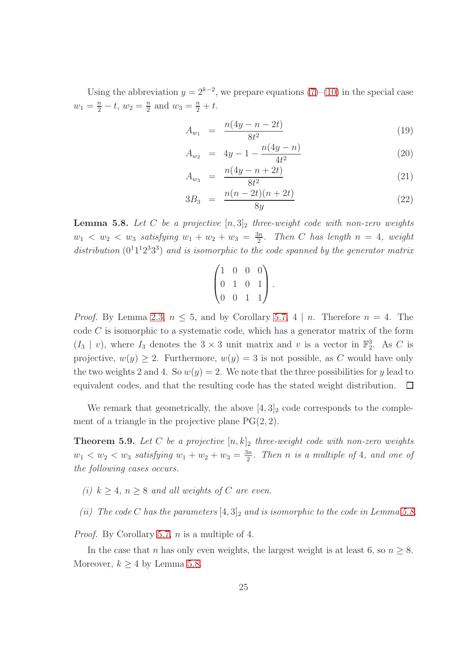Using the abbreviation  $y = 2^{k-2}$ , we prepare equations [\(7\)](#page-5-0)–[\(10\)](#page-5-0) in the special case  $w_1 = \frac{n}{2} - t$ ,  $w_2 = \frac{n}{2}$  $\frac{n}{2}$  and  $w_3 = \frac{n}{2} + t$ .

<span id="page-24-1"></span>
$$
A_{w_1} = \frac{n(4y - n - 2t)}{8t^2} \tag{19}
$$

$$
A_{w_2} = 4y - 1 - \frac{n(4y - n)}{4t^2} \tag{20}
$$

$$
A_{w_3} = \frac{n(4y - n + 2t)}{8t^2} \tag{21}
$$

$$
3B_3 = \frac{n(n-2t)(n+2t)}{8y} \tag{22}
$$

<span id="page-24-0"></span>**Lemma 5.8.** Let C be a projective  $[n,3]_2$  three-weight code with non-zero weights  $w_1 \, < \, w_2 \, < \, w_3$  satisfying  $w_1 + w_2 + w_3 = \frac{3n}{2}$  $\frac{2n}{2}$ . Then C has length  $n = 4$ , weight distribution  $(0^11^12^33^3)$  and is isomorphic to the code spanned by the generator matrix

$$
\begin{pmatrix} 1 & 0 & 0 & 0 \\ 0 & 1 & 0 & 1 \\ 0 & 0 & 1 & 1 \end{pmatrix}.
$$

*Proof.* By Lemma [2.3,](#page-3-2)  $n \leq 5$ , and by Corollary [5.7,](#page-23-0) 4 | *n*. Therefore  $n = 4$ . The code  $C$  is isomorphic to a systematic code, which has a generator matrix of the form  $(I_3 | v)$ , where  $I_3$  denotes the  $3 \times 3$  unit matrix and v is a vector in  $\mathbb{F}_2^3$ . As C is projective,  $w(y) \geq 2$ . Furthermore,  $w(y) = 3$  is not possible, as C would have only the two weights 2 and 4. So  $w(y) = 2$ . We note that the three possibilities for y lead to equivalent codes, and that the resulting code has the stated weight distribution.  $\Box$ 

We remark that geometrically, the above  $[4,3]_2$  code corresponds to the complement of a triangle in the projective plane  $PG(2, 2)$ .

<span id="page-24-2"></span>**Theorem 5.9.** Let C be a projective  $[n, k]_2$  three-weight code with non-zero weights  $w_1 < w_2 < w_3$  satisfying  $w_1 + w_2 + w_3 = \frac{3n}{2}$  $\frac{2n}{2}$ . Then n is a multiple of 4, and one of the following cases occurs.

- (i)  $k \geq 4$ ,  $n \geq 8$  and all weights of C are even.
- (ii) The code C has the parameters  $[4,3]_2$  and is isomorphic to the code in Lemma [5.8.](#page-24-0)

Proof. By Corollary [5.7,](#page-23-0) n is a multiple of 4.

In the case that n has only even weights, the largest weight is at least 6, so  $n \geq 8$ . Moreover,  $k \geq 4$  by Lemma [5.8.](#page-24-0)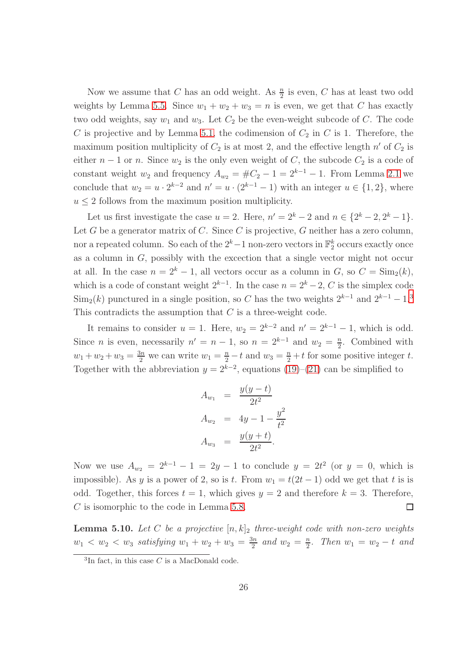Now we assume that C has an odd weight. As  $\frac{n}{2}$  is even, C has at least two odd weights by Lemma [5.5.](#page-22-0) Since  $w_1 + w_2 + w_3 = n$  is even, we get that C has exactly two odd weights, say  $w_1$  and  $w_3$ . Let  $C_2$  be the even-weight subcode of C. The code C is projective and by Lemma [5.1,](#page-21-0) the codimension of  $C_2$  in C is 1. Therefore, the maximum position multiplicity of  $C_2$  is at most 2, and the effective length  $n'$  of  $C_2$  is either  $n-1$  or n. Since  $w_2$  is the only even weight of C, the subcode  $C_2$  is a code of constant weight  $w_2$  and frequency  $A_{w_2} = \#C_2 - 1 = 2^{k-1} - 1$ . From Lemma [2.1](#page-2-1) we conclude that  $w_2 = u \cdot 2^{k-2}$  and  $n' = u \cdot (2^{k-1} - 1)$  with an integer  $u \in \{1, 2\}$ , where  $u \leq 2$  follows from the maximum position multiplicity.

Let us first investigate the case  $u = 2$ . Here,  $n' = 2<sup>k</sup> - 2$  and  $n \in \{2<sup>k</sup> - 2, 2<sup>k</sup> - 1\}$ . Let G be a generator matrix of C. Since C is projective, G neither has a zero column, nor a repeated column. So each of the  $2^k-1$  non-zero vectors in  $\mathbb{F}_2^k$  occurs exactly once as a column in  $G$ , possibly with the excection that a single vector might not occur at all. In the case  $n = 2<sup>k</sup> - 1$ , all vectors occur as a column in G, so  $C = \text{Sim}_2(k)$ , which is a code of constant weight  $2^{k-1}$ . In the case  $n = 2^k - 2$ , C is the simplex code  $\text{Sim}_2(k)$  punctured in a single position, so C has the two weights  $2^{k-1}$  and  $2^{k-1} - 1$ .<sup>[3](#page-25-1)</sup> This contradicts the assumption that  $C$  is a three-weight code.

It remains to consider  $u = 1$ . Here,  $w_2 = 2^{k-2}$  and  $n' = 2^{k-1} - 1$ , which is odd. Since *n* is even, necessarily  $n' = n - 1$ , so  $n = 2^{k-1}$  and  $w_2 = \frac{n}{2}$  $\frac{n}{2}$ . Combined with  $w_1 + w_2 + w_3 = \frac{3n}{2}$  we can write  $w_1 = \frac{n}{2} - t$  and  $w_3 = \frac{n}{2} + t$  for some positive integer t. Together with the abbreviation  $y = 2^{k-2}$ , equations [\(19\)](#page-24-1)–[\(21\)](#page-24-1) can be simplified to

$$
A_{w_1} = \frac{y(y-t)}{2t^2}
$$
  
\n
$$
A_{w_2} = 4y - 1 - \frac{y^2}{t^2}
$$
  
\n
$$
A_{w_3} = \frac{y(y+t)}{2t^2}.
$$

Now we use  $A_{w_2} = 2^{k-1} - 1 = 2y - 1$  to conclude  $y = 2t^2$  (or  $y = 0$ , which is impossible). As y is a power of 2, so is t. From  $w_1 = t(2t - 1)$  odd we get that t is is odd. Together, this forces  $t = 1$ , which gives  $y = 2$  and therefore  $k = 3$ . Therefore, C is isomorphic to the code in Lemma [5.8.](#page-24-0)  $\Box$ 

<span id="page-25-0"></span>**Lemma 5.10.** Let C be a projective  $[n, k]_2$  three-weight code with non-zero weights  $w_1 < w_2 < w_3$  satisfying  $w_1 + w_2 + w_3 = \frac{3n}{2}$  $\frac{3n}{2}$  and  $w_2 = \frac{n}{2}$  $\frac{n}{2}$ . Then  $w_1 = w_2 - t$  and

<span id="page-25-1"></span><sup>&</sup>lt;sup>3</sup>In fact, in this case C is a MacDonald code.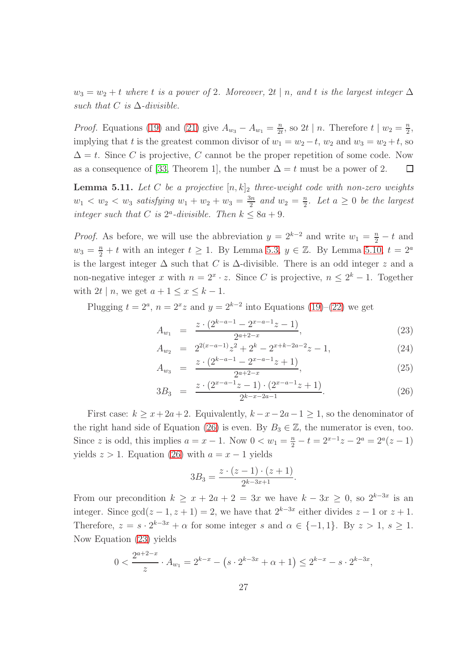$w_3 = w_2 + t$  where t is a power of 2. Moreover, 2t | n, and t is the largest integer  $\Delta$ such that  $C$  is  $\Delta$ -divisible.

*Proof.* Equations [\(19\)](#page-24-1) and [\(21\)](#page-24-1) give  $A_{w_3} - A_{w_1} = \frac{n}{24}$  $\frac{n}{2t}$ , so 2t | n. Therefore  $t \mid w_2 = \frac{n}{2}$  $\frac{n}{2}$ implying that t is the greatest common divisor of  $w_1 = w_2 - t$ ,  $w_2$  and  $w_3 = w_2 + t$ , so  $\Delta = t$ . Since C is projective, C cannot be the proper repetition of some code. Now as a consequence of [\[33,](#page-32-3) Theorem 1], the number  $\Delta = t$  must be a power of 2.  $\Box$ 

<span id="page-26-0"></span>**Lemma 5.11.** Let C be a projective  $[n, k]_2$  three-weight code with non-zero weights  $w_1 < w_2 < w_3$  satisfying  $w_1 + w_2 + w_3 = \frac{3n}{2}$  $\frac{3n}{2}$  and  $w_2 = \frac{n}{2}$  $\frac{n}{2}$ . Let  $a \geq 0$  be the largest integer such that C is  $2^a$ -divisible. Then  $k \leq 8a + 9$ .

*Proof.* As before, we will use the abbreviation  $y = 2^{k-2}$  and write  $w_1 = \frac{n}{2} - t$  and  $w_3 = \frac{n}{2} + t$  with an integer  $t \ge 1$ . By Lemma [5.3,](#page-21-1)  $y \in \mathbb{Z}$ . By Lemma [5.10,](#page-25-0)  $t = 2^a$ is the largest integer  $\Delta$  such that C is  $\Delta$ -divisible. There is an odd integer z and a non-negative integer x with  $n = 2^x \cdot z$ . Since C is projective,  $n \leq 2^k - 1$ . Together with  $2t \mid n$ , we get  $a + 1 \leq x \leq k - 1$ .

Plugging  $t = 2^a$ ,  $n = 2^x z$  and  $y = 2^{k-2}$  into Equations [\(19\)](#page-24-1)–[\(22\)](#page-24-1) we get

<span id="page-26-1"></span>
$$
A_{w_1} = \frac{z \cdot (2^{k-a-1} - 2^{x-a-1}z - 1)}{2^{a+2-x}},
$$
\n(23)

$$
A_{w_2} = 2^{2(x-a-1)}z^2 + 2^k - 2^{x+k-2a-2}z - 1,
$$
\n(24)

$$
A_{w_3} = \frac{z \cdot (2^{k-a-1} - 2^{x-a-1}z + 1)}{2^{a+2-x}},
$$
\n(25)

$$
3B_3 = \frac{z \cdot (2^{x-a-1}z - 1) \cdot (2^{x-a-1}z + 1)}{2^{k-x-2a-1}}.
$$
 (26)

First case:  $k \geq x+2a+2$ . Equivalently,  $k-x-2a-1 \geq 1$ , so the denominator of the right hand side of Equation [\(26\)](#page-26-1) is even. By  $B_3 \in \mathbb{Z}$ , the numerator is even, too. Since z is odd, this implies  $a = x - 1$ . Now  $0 < w_1 = \frac{n}{2} - t = 2^{x-1}z - 2^a = 2^a(z - 1)$ yields  $z > 1$ . Equation [\(26\)](#page-26-1) with  $a = x - 1$  yields

$$
3B_3 = \frac{z \cdot (z-1) \cdot (z+1)}{2^{k-3x+1}}.
$$

From our precondition  $k \ge x + 2a + 2 = 3x$  we have  $k - 3x \ge 0$ , so  $2^{k-3x}$  is an integer. Since  $gcd(z-1, z+1) = 2$ , we have that  $2^{k-3x}$  either divides  $z-1$  or  $z+1$ . Therefore,  $z = s \cdot 2^{k-3x} + \alpha$  for some integer s and  $\alpha \in \{-1, 1\}$ . By  $z > 1$ ,  $s \ge 1$ . Now Equation [\(23\)](#page-26-1) yields

$$
0 < \frac{2^{a+2-x}}{z} \cdot A_{w_1} = 2^{k-x} - \left(s \cdot 2^{k-3x} + \alpha + 1\right) \le 2^{k-x} - s \cdot 2^{k-3x},
$$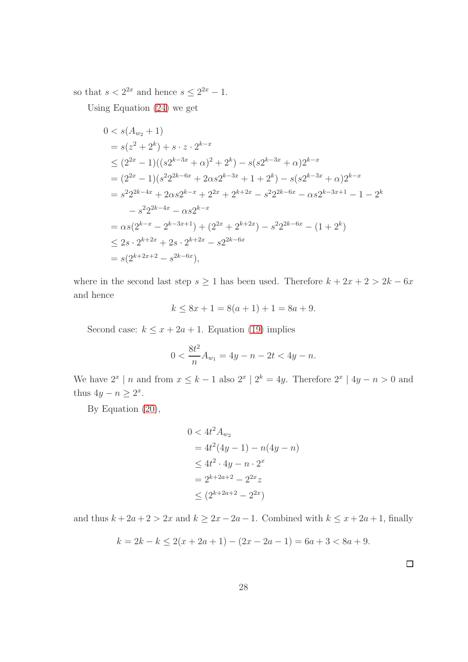so that  $s < 2^{2x}$  and hence  $s \leq 2^{2x} - 1$ .

Using Equation [\(24\)](#page-26-1) we get

$$
0 < s(A_{w_2} + 1)
$$
\n
$$
= s(z^2 + 2^k) + s \cdot z \cdot 2^{k-x}
$$
\n
$$
\leq (2^{2x} - 1)((s2^{k-3x} + \alpha)^2 + 2^k) - s(s2^{k-3x} + \alpha)2^{k-x}
$$
\n
$$
= (2^{2x} - 1)(s^2 2^{2k-6x} + 2\alpha s 2^{k-3x} + 1 + 2^k) - s(s2^{k-3x} + \alpha)2^{k-x}
$$
\n
$$
= s^2 2^{2k-4x} + 2\alpha s 2^{k-x} + 2^{2x} + 2^{k+2x} - s^2 2^{2k-6x} - \alpha s 2^{k-3x+1} - 1 - 2^k
$$
\n
$$
- s^2 2^{2k-4x} - \alpha s 2^{k-x}
$$
\n
$$
= \alpha s(2^{k-x} - 2^{k-3x+1}) + (2^{2x} + 2^{k+2x}) - s^2 2^{2k-6x} - (1 + 2^k)
$$
\n
$$
\leq 2s \cdot 2^{k+2x} + 2s \cdot 2^{k+2x} - s 2^{2k-6x}
$$
\n
$$
= s(2^{k+2x+2} - s^{2k-6x}),
$$

where in the second last step  $s \ge 1$  has been used. Therefore  $k + 2x + 2 > 2k - 6x$ and hence

$$
k \le 8x + 1 = 8(a + 1) + 1 = 8a + 9.
$$

Second case:  $k \leq x + 2a + 1$ . Equation [\(19\)](#page-24-1) implies

$$
0 < \frac{8t^2}{n}A_{w_1} = 4y - n - 2t < 4y - n.
$$

We have  $2^x \mid n$  and from  $x \leq k-1$  also  $2^x \mid 2^k = 4y$ . Therefore  $2^x \mid 4y - n > 0$  and thus  $4y - n \geq 2^x$ .

By Equation [\(20\)](#page-24-1),

$$
0 < 4t2 Aw2
$$
  
= 4t<sup>2</sup>(4y - 1) - n(4y - n)  

$$
\leq 4t2 \cdot 4y - n \cdot 2x
$$
  
= 2<sup>k+2a+2</sup> - 2<sup>2x</sup> z  

$$
\leq (2k+2a+2 - 22x)
$$

and thus  $k + 2a + 2 > 2x$  and  $k \ge 2x - 2a - 1$ . Combined with  $k \le x + 2a + 1$ , finally

$$
k = 2k - k \le 2(x + 2a + 1) - (2x - 2a - 1) = 6a + 3 < 8a + 9.
$$

 $\Box$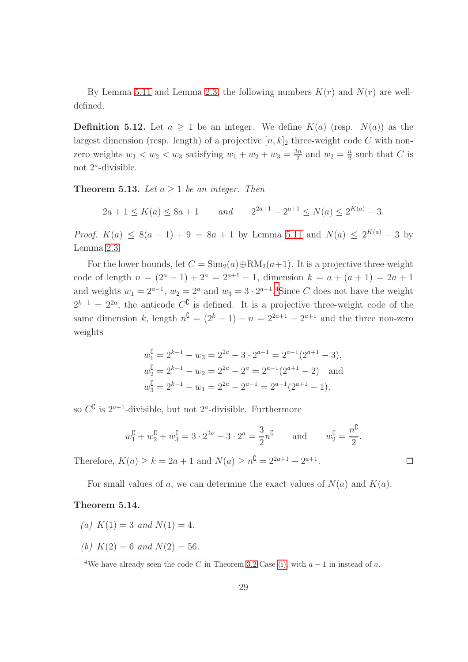By Lemma [5.11](#page-26-0) and Lemma [2.3,](#page-3-2) the following numbers  $K(r)$  and  $N(r)$  are welldefined.

**Definition 5.12.** Let  $a \ge 1$  be an integer. We define  $K(a)$  (resp.  $N(a)$ ) as the largest dimension (resp. length) of a projective  $[n, k]_2$  three-weight code C with nonzero weights  $w_1 < w_2 < w_3$  satisfying  $w_1 + w_2 + w_3 = \frac{3n}{2}$  $rac{3n}{2}$  and  $w_2 = \frac{n}{2}$  $\frac{n}{2}$  such that C is not  $2^a$ -divisible.

<span id="page-28-1"></span>**Theorem 5.13.** Let  $a \geq 1$  be an integer. Then

 $2a + 1 \le K(a) \le 8a + 1$  and  $2^{2a+1} - 2^{a+1} \le N(a) \le 2^{K(a)} - 3$ .

*Proof.*  $K(a) \leq 8(a-1) + 9 = 8a + 1$  by Lemma [5.11](#page-26-0) and  $N(a) \leq 2^{K(a)} - 3$  by Lemma [2.3.](#page-3-2)

For the lower bounds, let  $C = \text{Sim}_2(a) \oplus \text{RM}_2(a+1)$ . It is a projective three-weight code of length  $n = (2^a - 1) + 2^a = 2^{a+1} - 1$ , dimension  $k = a + (a + 1) = 2a + 1$ and weights  $w_1 = 2^{a-1}$ ,  $w_2 = 2^a$  and  $w_3 = 3 \cdot 2^{a-1}$ .<sup>[4](#page-28-0)</sup>Since C does not have the weight  $2^{k-1} = 2^{2a}$ , the anticode  $C^{\mathbb{C}}$  is defined. It is a projective three-weight code of the same dimension k, length  $n^{\mathbb{C}} = (2^k - 1) - n = 2^{2a+1} - 2^{a+1}$  and the three non-zero weights

$$
w_1^{\mathbb{C}} = 2^{k-1} - w_3 = 2^{2a} - 3 \cdot 2^{a-1} = 2^{a-1}(2^{a+1} - 3),
$$
  
\n
$$
w_2^{\mathbb{C}} = 2^{k-1} - w_2 = 2^{2a} - 2^a = 2^{a-1}(2^{a+1} - 2)
$$
 and  
\n
$$
w_3^{\mathbb{C}} = 2^{k-1} - w_1 = 2^{2a} - 2^{a-1} = 2^{a-1}(2^{a+1} - 1),
$$

so  $C^{\complement}$  is  $2^{a-1}$ -divisible, but not  $2^a$ -divisible. Furthermore

$$
w_1^{\mathsf{C}} + w_2^{\mathsf{C}} + w_3^{\mathsf{C}} = 3 \cdot 2^{2a} - 3 \cdot 2^a = \frac{3}{2} n^{\mathsf{C}}
$$
 and  $w_2^{\mathsf{C}} = \frac{n^{\mathsf{C}}}{2}$ .

 $\Box$ 

Therefore,  $K(a) \ge k = 2a + 1$  and  $N(a) \ge n^{\mathbb{C}} = 2^{2a+1} - 2^{a+1}$ .

For small values of a, we can determine the exact values of  $N(a)$  and  $K(a)$ .

#### <span id="page-28-2"></span>Theorem 5.14.

- (a)  $K(1) = 3$  and  $N(1) = 4$ .
- (b)  $K(2) = 6$  and  $N(2) = 56$ .

<span id="page-28-0"></span><sup>4</sup>We have already seen the code C in Theorem [3.2](#page-14-0) Case [\(i\),](#page-14-2) with  $a - 1$  in instead of a.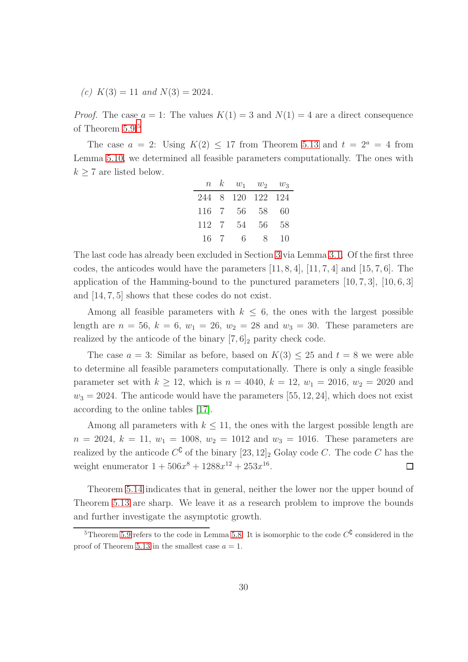(c)  $K(3) = 11$  and  $N(3) = 2024$ .

*Proof.* The case  $a = 1$ : The values  $K(1) = 3$  and  $N(1) = 4$  are a direct consequence of Theorem [5.9.](#page-24-2)<sup>[5](#page-29-0)</sup>

The case  $a = 2$ : Using  $K(2) \le 17$  from Theorem [5.13](#page-28-1) and  $t = 2^a = 4$  from Lemma [5.10,](#page-25-0) we determined all feasible parameters computationally. The ones with  $k \geq 7$  are listed below.

|       | $n \kappa$ | $w_1$         | $w_2$ | $w_3$ |
|-------|------------|---------------|-------|-------|
| 244   |            | 8 120 122 124 |       |       |
| 116 7 |            | 56            | 58    | 60    |
| 112 7 |            | 54            | 56    | 58    |
| 16    | -7         | 6             | 8     | 10    |

The last code has already been excluded in Section [3](#page-8-0) via Lemma [3.1.](#page-10-0) Of the first three codes, the anticodes would have the parameters  $[11, 8, 4]$ ,  $[11, 7, 4]$  and  $[15, 7, 6]$ . The application of the Hamming-bound to the punctured parameters [10, 7, 3], [10, 6, 3] and [14, 7, 5] shows that these codes do not exist.

Among all feasible parameters with  $k \leq 6$ , the ones with the largest possible length are  $n = 56$ ,  $k = 6$ ,  $w_1 = 26$ ,  $w_2 = 28$  and  $w_3 = 30$ . These parameters are realized by the anticode of the binary  $[7, 6]_2$  parity check code.

The case  $a = 3$ : Similar as before, based on  $K(3) \leq 25$  and  $t = 8$  we were able to determine all feasible parameters computationally. There is only a single feasible parameter set with  $k \ge 12$ , which is  $n = 4040$ ,  $k = 12$ ,  $w_1 = 2016$ ,  $w_2 = 2020$  and  $w_3 = 2024$ . The anticode would have the parameters [55, 12, 24], which does not exist according to the online tables [\[17\]](#page-31-6).

Among all parameters with  $k \leq 11$ , the ones with the largest possible length are  $n = 2024, k = 11, w_1 = 1008, w_2 = 1012$  and  $w_3 = 1016$ . These parameters are realized by the anticode  $C^{\complement}$  of the binary  $[23, 12]_2$  Golay code C. The code C has the weight enumerator  $1 + 506x^8 + 1288x^{12} + 253x^{16}$ .  $\Box$ 

Theorem [5.14](#page-28-2) indicates that in general, neither the lower nor the upper bound of Theorem [5.13](#page-28-1) are sharp. We leave it as a research problem to improve the bounds and further investigate the asymptotic growth.

<span id="page-29-0"></span><sup>&</sup>lt;sup>5</sup>Theorem [5.9](#page-24-2) refers to the code in Lemma [5.8.](#page-24-0) It is isomorphic to the code  $C^{\mathbb{C}}$  considered in the proof of Theorem [5.13](#page-28-1) in the smallest case  $a = 1$ .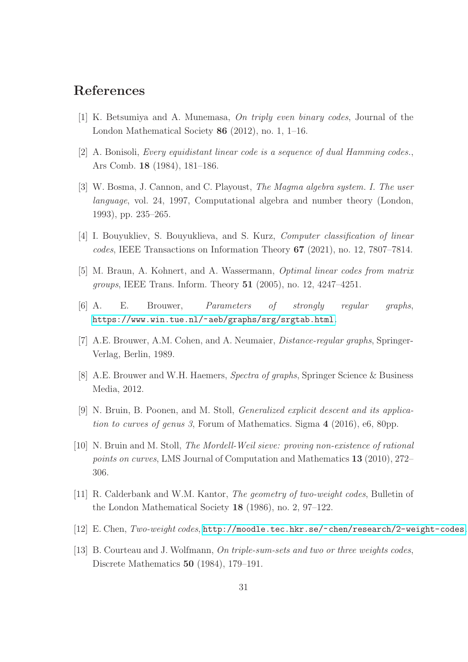### <span id="page-30-8"></span>References

- <span id="page-30-4"></span>[1] K. Betsumiya and A. Munemasa, On triply even binary codes, Journal of the London Mathematical Society 86 (2012), no. 1, 1–16.
- <span id="page-30-10"></span>[2] A. Bonisoli, Every equidistant linear code is a sequence of dual Hamming codes., Ars Comb. 18 (1984), 181–186.
- [3] W. Bosma, J. Cannon, and C. Playoust, The Magma algebra system. I. The user language, vol. 24, 1997, Computational algebra and number theory (London, 1993), pp. 235–265.
- <span id="page-30-9"></span><span id="page-30-7"></span>[4] I. Bouyukliev, S. Bouyuklieva, and S. Kurz, Computer classification of linear codes, IEEE Transactions on Information Theory 67 (2021), no. 12, 7807–7814.
- <span id="page-30-2"></span>[5] M. Braun, A. Kohnert, and A. Wassermann, Optimal linear codes from matrix groups, IEEE Trans. Inform. Theory 51 (2005), no. 12, 4247–4251.
- <span id="page-30-5"></span>[6] A. E. Brouwer, Parameters of strongly regular graphs, <https://www.win.tue.nl/~aeb/graphs/srg/srgtab.html>.
- <span id="page-30-0"></span>[7] A.E. Brouwer, A.M. Cohen, and A. Neumaier, Distance-regular graphs, Springer-Verlag, Berlin, 1989.
- <span id="page-30-12"></span>[8] A.E. Brouwer and W.H. Haemers, Spectra of graphs, Springer Science & Business Media, 2012.
- <span id="page-30-11"></span>[9] N. Bruin, B. Poonen, and M. Stoll, Generalized explicit descent and its application to curves of genus 3, Forum of Mathematics. Sigma 4 (2016), e6, 80pp.
- [10] N. Bruin and M. Stoll, The Mordell-Weil sieve: proving non-existence of rational points on curves, LMS Journal of Computation and Mathematics 13 (2010), 272– 306.
- <span id="page-30-3"></span><span id="page-30-1"></span>[11] R. Calderbank and W.M. Kantor, The geometry of two-weight codes, Bulletin of the London Mathematical Society 18 (1986), no. 2, 97–122.
- <span id="page-30-6"></span>[12] E. Chen, Two-weight codes, <http://moodle.tec.hkr.se/~chen/research/2-weight-codes>.
- [13] B. Courteau and J. Wolfmann, On triple-sum-sets and two or three weights codes, Discrete Mathematics 50 (1984), 179–191.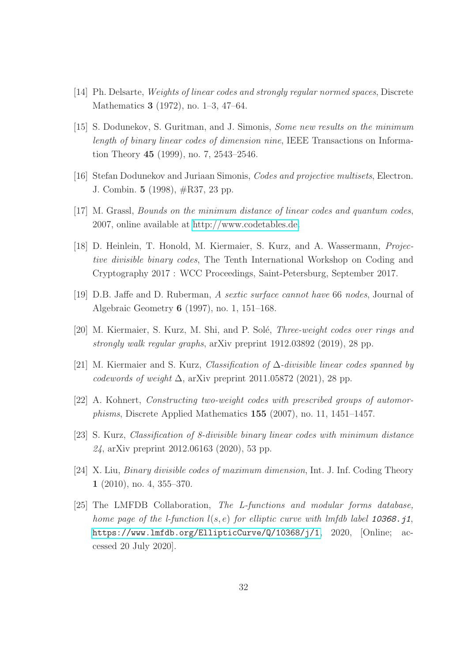- <span id="page-31-5"></span><span id="page-31-0"></span>[14] Ph. Delsarte, Weights of linear codes and strongly regular normed spaces, Discrete Mathematics 3 (1972), no. 1–3, 47–64.
- [15] S. Dodunekov, S. Guritman, and J. Simonis, Some new results on the minimum length of binary linear codes of dimension nine, IEEE Transactions on Information Theory 45 (1999), no. 7, 2543–2546.
- <span id="page-31-6"></span><span id="page-31-3"></span>[16] Stefan Dodunekov and Juriaan Simonis, Codes and projective multisets, Electron. J. Combin. 5 (1998), #R37, 23 pp.
- <span id="page-31-4"></span>[17] M. Grassl, Bounds on the minimum distance of linear codes and quantum codes, 2007, online available at [http://www.codetables.de.](http://www.codetables.de)
- [18] D. Heinlein, T. Honold, M. Kiermaier, S. Kurz, and A. Wassermann, Projective divisible binary codes, The Tenth International Workshop on Coding and Cryptography 2017 : WCC Proceedings, Saint-Petersburg, September 2017.
- <span id="page-31-7"></span><span id="page-31-2"></span>[19] D.B. Jaffe and D. Ruberman, A sextic surface cannot have 66 nodes, Journal of Algebraic Geometry 6 (1997), no. 1, 151–168.
- <span id="page-31-9"></span>[20] M. Kiermaier, S. Kurz, M. Shi, and P. Solé, *Three-weight codes over rings and* strongly walk regular graphs, arXiv preprint 1912.03892 (2019), 28 pp.
- <span id="page-31-1"></span>[21] M. Kiermaier and S. Kurz, Classification of ∆-divisible linear codes spanned by codewords of weight  $\Delta$ , arXiv preprint 2011.05872 (2021), 28 pp.
- <span id="page-31-8"></span>[22] A. Kohnert, Constructing two-weight codes with prescribed groups of automorphisms, Discrete Applied Mathematics 155 (2007), no. 11, 1451–1457.
- [23] S. Kurz, Classification of 8-divisible binary linear codes with minimum distance 24, arXiv preprint 2012.06163 (2020), 53 pp.
- <span id="page-31-10"></span>[24] X. Liu, Binary divisible codes of maximum dimension, Int. J. Inf. Coding Theory 1 (2010), no. 4, 355–370.
- [25] The LMFDB Collaboration, The L-functions and modular forms database, home page of the *l*-function  $l(s, e)$  for elliptic curve with lmfdb label 10368.j1, <https://www.lmfdb.org/EllipticCurve/Q/10368/j/1>, 2020, [Online; accessed 20 July 2020].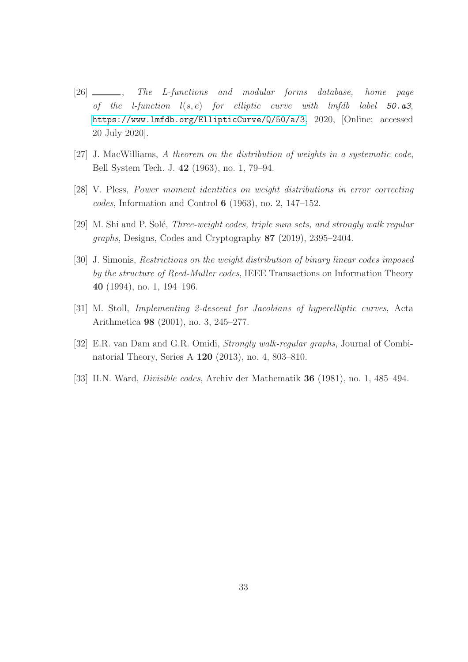- <span id="page-32-5"></span>[26]  $\frac{1}{26}$ , The L-functions and modular forms database, home page of the *l*-function  $l(s, e)$  for elliptic curve with lmfdb label 50. $a3$ , <https://www.lmfdb.org/EllipticCurve/Q/50/a/3>, 2020, [Online; accessed 20 July 2020].
- <span id="page-32-2"></span>[27] J. MacWilliams, A theorem on the distribution of weights in a systematic code, Bell System Tech. J. 42 (1963), no. 1, 79–94.
- <span id="page-32-1"></span>[28] V. Pless, Power moment identities on weight distributions in error correcting codes, Information and Control 6 (1963), no. 2, 147–152.
- <span id="page-32-4"></span>[29] M. Shi and P. Solé, *Three-weight codes, triple sum sets, and strongly walk regular* graphs, Designs, Codes and Cryptography 87 (2019), 2395–2404.
- [30] J. Simonis, Restrictions on the weight distribution of binary linear codes imposed by the structure of Reed-Muller codes, IEEE Transactions on Information Theory 40 (1994), no. 1, 194–196.
- <span id="page-32-6"></span><span id="page-32-0"></span>[31] M. Stoll, Implementing 2-descent for Jacobians of hyperelliptic curves, Acta Arithmetica 98 (2001), no. 3, 245–277.
- <span id="page-32-3"></span>[32] E.R. van Dam and G.R. Omidi, Strongly walk-regular graphs, Journal of Combinatorial Theory, Series A 120 (2013), no. 4, 803–810.
- [33] H.N. Ward, Divisible codes, Archiv der Mathematik 36 (1981), no. 1, 485–494.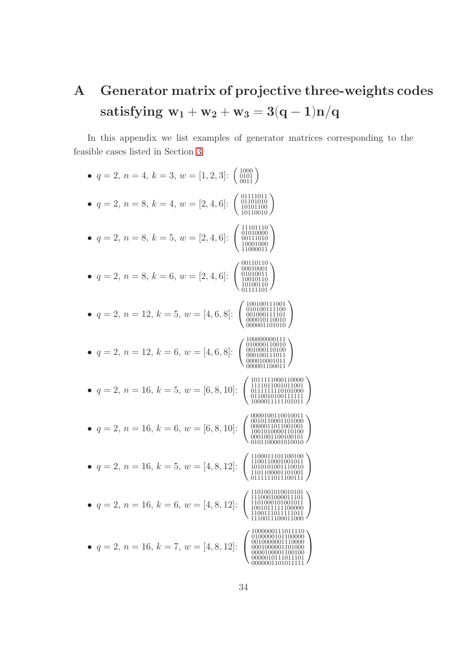# <span id="page-33-0"></span>A Generator matrix of projective three-weights codes satisfying  $\mathbf{w}_1 + \mathbf{w}_2 + \mathbf{w}_3 = 3(\mathbf{q}-\mathbf{1})\mathbf{n}/\mathbf{q}$

In this appendix we list examples of generator matrices corresponding to the feasible cases listed in Section [3.](#page-8-0)

| $q = 2, n = 4, k = 3, w = [1, 2, 3]$ :<br>$\left( \begin{array}{c} 1000 \\ 0101 \\ 0011 \end{array} \right)$                                                      |
|-------------------------------------------------------------------------------------------------------------------------------------------------------------------|
| $q = 2, n = 8, k = 4, w = [2, 4, 6]$ :<br>$\begin{array}{c} 01101010 \\ 10101100 \\ 10110010 \end{array}$                                                         |
| $\begin{array}{r} 01010000 \\ 00111010 \\ 10001000 \\ 11000011 \end{array}$<br>$q = 2, n = 8, k = 5, w = [2, 4, 6]$ :                                             |
| 00110110<br>00010001<br>$q = 2, n = 8, k = 6, w = [2, 4, 6]$ :<br>01010011<br>10010110<br>10100110                                                                |
| 100100111001<br>$q = 2, n = 12, k = 5, w = [4, 6, 8]$ :<br>$\left\{\begin{array}{c} 010100111100 \ 001000111101 \ 000010110010 \ 000001101010 \end{array}\right.$ |
| 100000000111<br>• $q = 2, n = 12, k = 6, w = [4, 6, 8]$ :<br>001000110100<br>000100111011<br>000010001011                                                         |
| 1011111000110000<br>$q = 2, n = 16, k = 5, w = [6, 8, 10]$ :                                                                                                      |
| 000100110010011<br>0010110001101000<br>• $q = 2, n = 16, k = 6, w = [6, 8, 10]$ :                                                                                 |
| $q = 2, n = 16, k = 5, w = [4, 8, 12]$ :<br>0111111011100111                                                                                                      |
| 1101001010010101<br>1110001000011101<br>$q = 2, n = 16, k = 6, w = [4, 8, 12]$ :<br>1101000101001011<br>1001011111100000<br>1100111011111011<br>1110011100011000  |
| 1000000111011110<br>0100000101100000<br>$q = 2, n = 16, k = 7, w = [4, 8, 12]:$                                                                                   |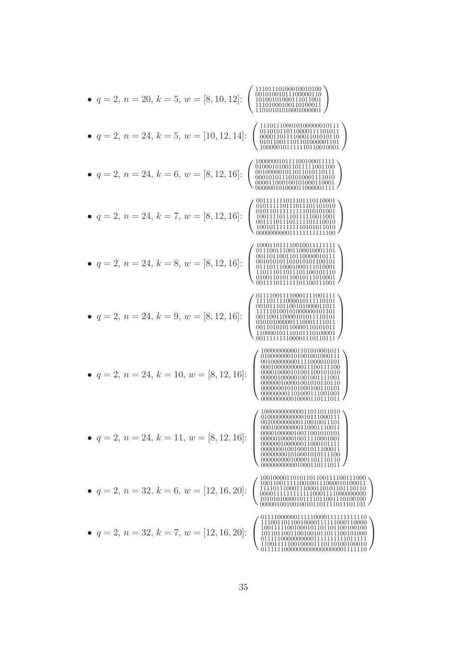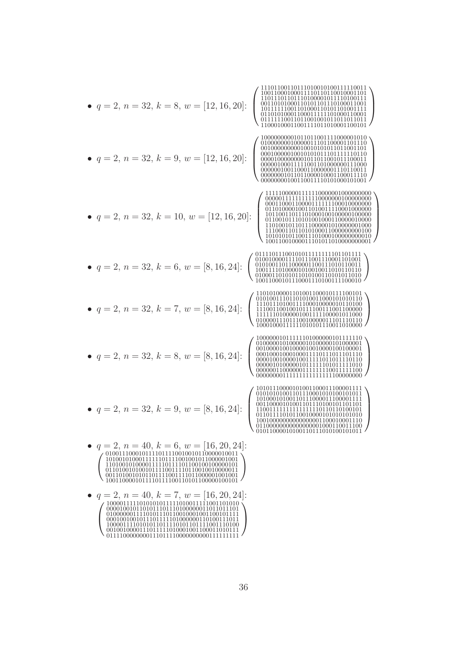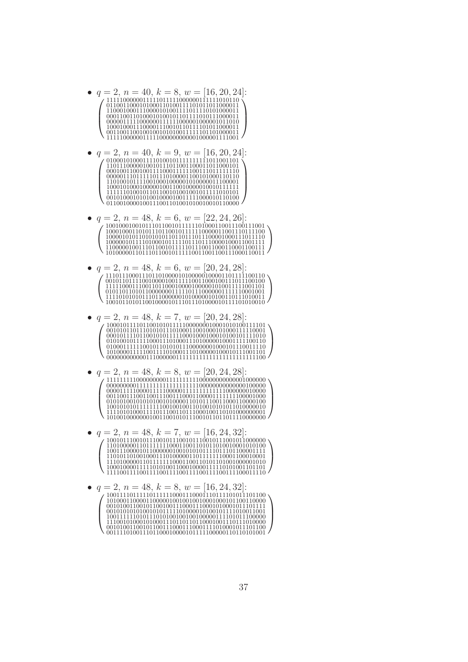- $q = 2, n = 40, k = 8, w = [16, 20, 24]$  $1111100000011111011111000000111111010110$  $\frac{01100110001010001101001111001011011000011}{1100010001110000111000011110111101000011}$ 1111100000011111000000000001000001111001
- $q = 2, n = 40, k = 9, w = [16, 20, 24]$ :  $\bullet$ 1101001011110010001000001010000011100001
- $q = 2, n = 48, k = 6, w = [22, 24, 26]:$  $\bullet$ 101000001101110110010111110011001100111000110011
- $q = 2, n = 48, k = 6, w = [20, 24, 28]$
- $q = 2, n = 48, k = 7, w = [20, 24, 28]$
- $q=2, n=48, k=8, w=[20, 24, 28]$  $\bullet$
- 
-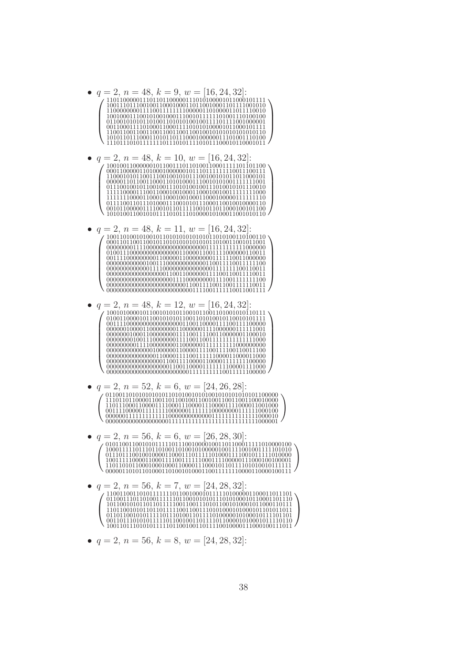

•  $q = 2$ ,  $n = 56$ ,  $k = 8$ ,  $w = [24, 28, 32]$ :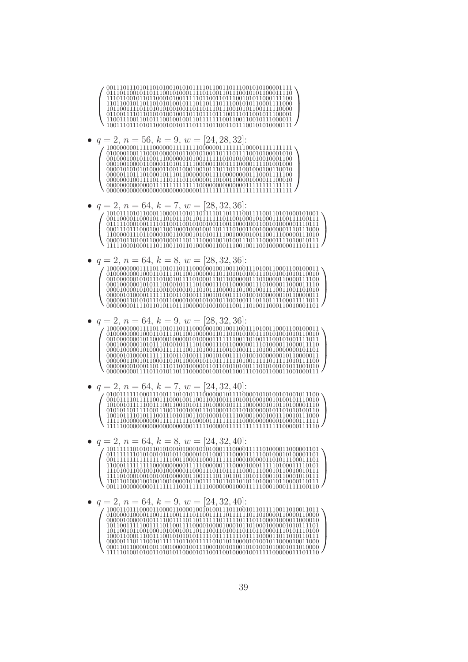

 $q = 2, n = 56, k = 9, w = [24, 28, 32]$ 

- $q=2, n=64, k=7, w=[28, 32, 36]$
- $q = 2, n = 64, k = 8, w = [28, 32, 36]$ :
- $q = 2, n = 64, k = 9, w = [28, 32, 36]$  $\bullet$
- $q = 2, n = 64, k = 7, w = [24, 32, 40]:$

 $a = 2, n = 64, k = 8, w = [24, 32, 40]$  $\bullet$ 

 $q = 2, n = 64, k = 9, w = [24, 32, 40]:$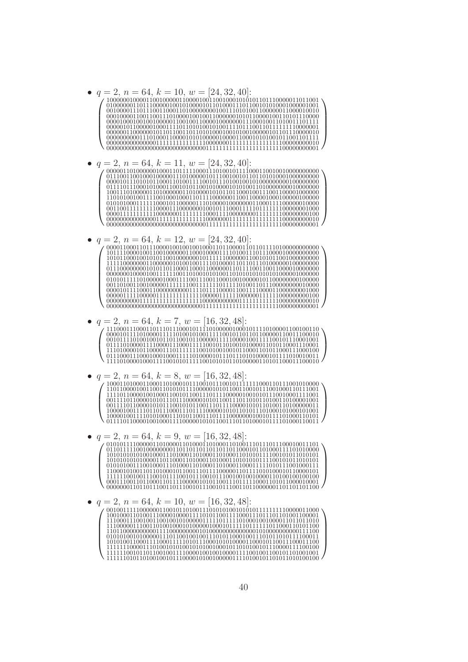$a = 2, n = 64, k = 10, w = [24, 32, 40]$ 

•  $q = 2, n = 64, k = 11, w = [24, 32, 40]$ :

 $q=2, n=64, k=12, w=[24,32,40]$  $\bullet$ 

- $q = 2, n = 64, k = 7, w = [16, 32, 48]$ 
	-
- $q = 2$ ,  $n = 64$ ,  $k = 8$ ,  $w = [16, 32, 48]$ :

 $q = 2, n = 64, k = 9, w = [16, 32, 48]$ 

 $q = 2, n = 64, k = 10, w = [16, 32, 48]$